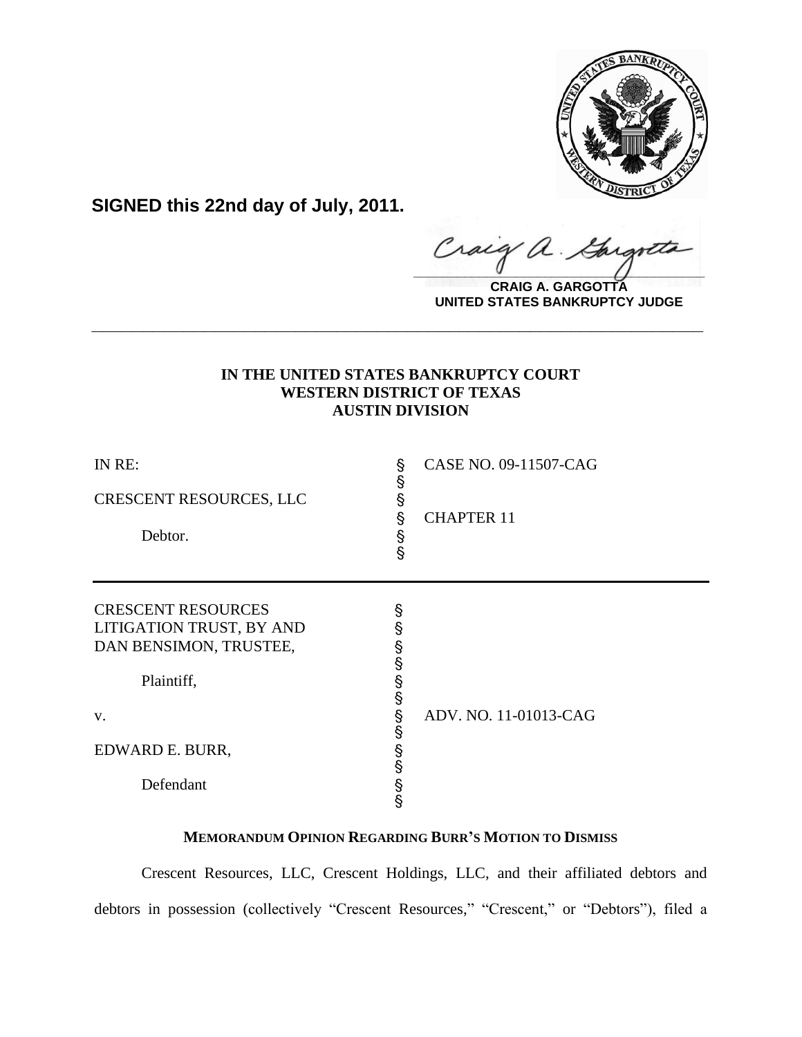

**SIGNED this 22nd day of July, 2011.**

raig  $\alpha$  .  $\frac{1}{2}$ 

**CRAIG A. GARGOTTA UNITED STATES BANKRUPTCY JUDGE**

# **IN THE UNITED STATES BANKRUPTCY COURT WESTERN DISTRICT OF TEXAS AUSTIN DIVISION**

**\_\_\_\_\_\_\_\_\_\_\_\_\_\_\_\_\_\_\_\_\_\_\_\_\_\_\_\_\_\_\_\_\_\_\_\_\_\_\_\_\_\_\_\_\_\_\_\_\_\_\_\_\_\_\_\_\_\_\_\_**

| IN RE:<br>CRESCENT RESOURCES, LLC<br>Debtor.                                                        | Ş<br>Ş<br>Ş<br>Ş<br>S<br>S           | CASE NO. 09-11507-CAG<br><b>CHAPTER 11</b> |
|-----------------------------------------------------------------------------------------------------|--------------------------------------|--------------------------------------------|
| <b>CRESCENT RESOURCES</b><br>LITIGATION TRUST, BY AND<br>DAN BENSIMON, TRUSTEE,<br>Plaintiff,<br>V. | Ş<br>§<br>§<br>§<br>§<br>§<br>Ş<br>Ş | ADV. NO. 11-01013-CAG                      |
| EDWARD E. BURR,<br>Defendant                                                                        | S<br>S<br>§<br>§                     |                                            |

# **MEMORANDUM OPINION REGARDING BURR'S MOTION TO DISMISS**

Crescent Resources, LLC, Crescent Holdings, LLC, and their affiliated debtors and debtors in possession (collectively "Crescent Resources," "Crescent," or "Debtors"), filed a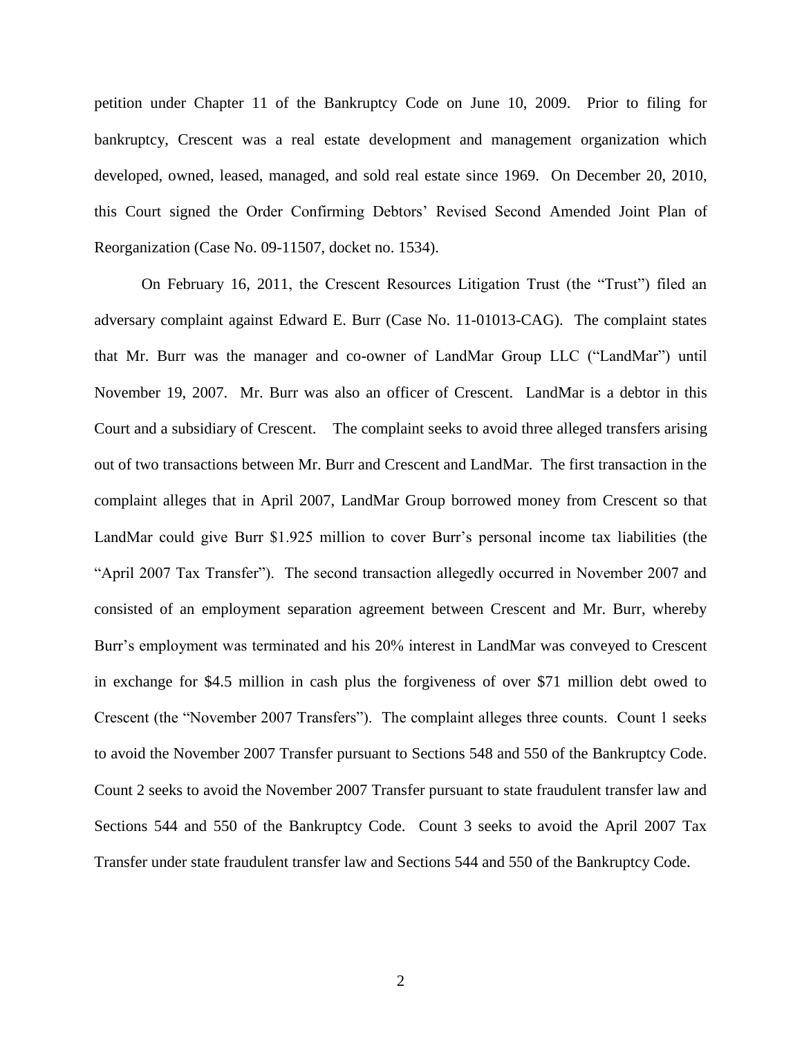petition under Chapter 11 of the Bankruptcy Code on June 10, 2009. Prior to filing for bankruptcy, Crescent was a real estate development and management organization which developed, owned, leased, managed, and sold real estate since 1969. On December 20, 2010, this Court signed the Order Confirming Debtors" Revised Second Amended Joint Plan of Reorganization (Case No. 09-11507, docket no. 1534).

On February 16, 2011, the Crescent Resources Litigation Trust (the "Trust") filed an adversary complaint against Edward E. Burr (Case No. 11-01013-CAG). The complaint states that Mr. Burr was the manager and co-owner of LandMar Group LLC ("LandMar") until November 19, 2007. Mr. Burr was also an officer of Crescent. LandMar is a debtor in this Court and a subsidiary of Crescent. The complaint seeks to avoid three alleged transfers arising out of two transactions between Mr. Burr and Crescent and LandMar. The first transaction in the complaint alleges that in April 2007, LandMar Group borrowed money from Crescent so that LandMar could give Burr \$1.925 million to cover Burr's personal income tax liabilities (the "April 2007 Tax Transfer"). The second transaction allegedly occurred in November 2007 and consisted of an employment separation agreement between Crescent and Mr. Burr, whereby Burr's employment was terminated and his 20% interest in LandMar was conveyed to Crescent in exchange for \$4.5 million in cash plus the forgiveness of over \$71 million debt owed to Crescent (the "November 2007 Transfers"). The complaint alleges three counts. Count 1 seeks to avoid the November 2007 Transfer pursuant to Sections 548 and 550 of the Bankruptcy Code. Count 2 seeks to avoid the November 2007 Transfer pursuant to state fraudulent transfer law and Sections 544 and 550 of the Bankruptcy Code. Count 3 seeks to avoid the April 2007 Tax Transfer under state fraudulent transfer law and Sections 544 and 550 of the Bankruptcy Code.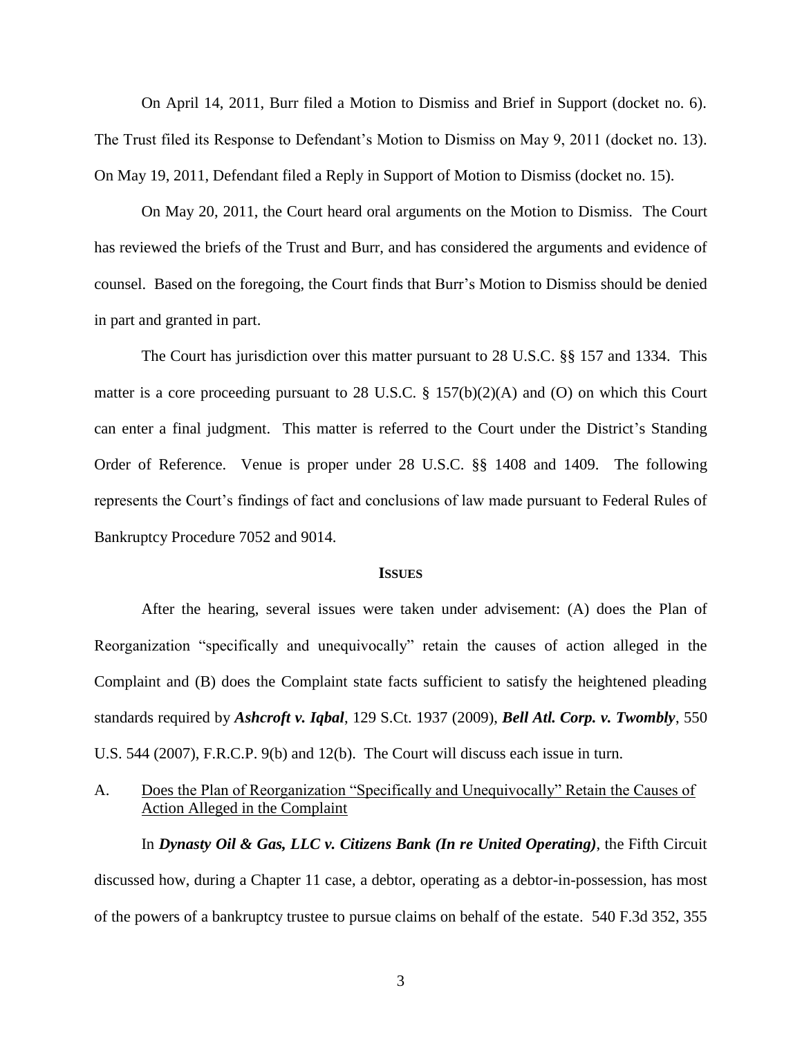On April 14, 2011, Burr filed a Motion to Dismiss and Brief in Support (docket no. 6). The Trust filed its Response to Defendant's Motion to Dismiss on May 9, 2011 (docket no. 13). On May 19, 2011, Defendant filed a Reply in Support of Motion to Dismiss (docket no. 15).

On May 20, 2011, the Court heard oral arguments on the Motion to Dismiss. The Court has reviewed the briefs of the Trust and Burr, and has considered the arguments and evidence of counsel. Based on the foregoing, the Court finds that Burr"s Motion to Dismiss should be denied in part and granted in part.

The Court has jurisdiction over this matter pursuant to 28 U.S.C. §§ 157 and 1334. This matter is a core proceeding pursuant to 28 U.S.C. § 157(b)(2)(A) and (O) on which this Court can enter a final judgment. This matter is referred to the Court under the District's Standing Order of Reference. Venue is proper under 28 U.S.C. §§ 1408 and 1409. The following represents the Court"s findings of fact and conclusions of law made pursuant to Federal Rules of Bankruptcy Procedure 7052 and 9014.

#### **ISSUES**

After the hearing, several issues were taken under advisement: (A) does the Plan of Reorganization "specifically and unequivocally" retain the causes of action alleged in the Complaint and (B) does the Complaint state facts sufficient to satisfy the heightened pleading standards required by *Ashcroft v. Iqbal*, 129 S.Ct. 1937 (2009), *Bell Atl. Corp. v. Twombly*, 550 U.S. 544 (2007), F.R.C.P. 9(b) and 12(b). The Court will discuss each issue in turn.

A. Does the Plan of Reorganization "Specifically and Unequivocally" Retain the Causes of Action Alleged in the Complaint

In *Dynasty Oil & Gas, LLC v. Citizens Bank (In re United Operating)*, the Fifth Circuit discussed how, during a Chapter 11 case, a debtor, operating as a debtor-in-possession, has most of the powers of a bankruptcy trustee to pursue claims on behalf of the estate. 540 F.3d 352, 355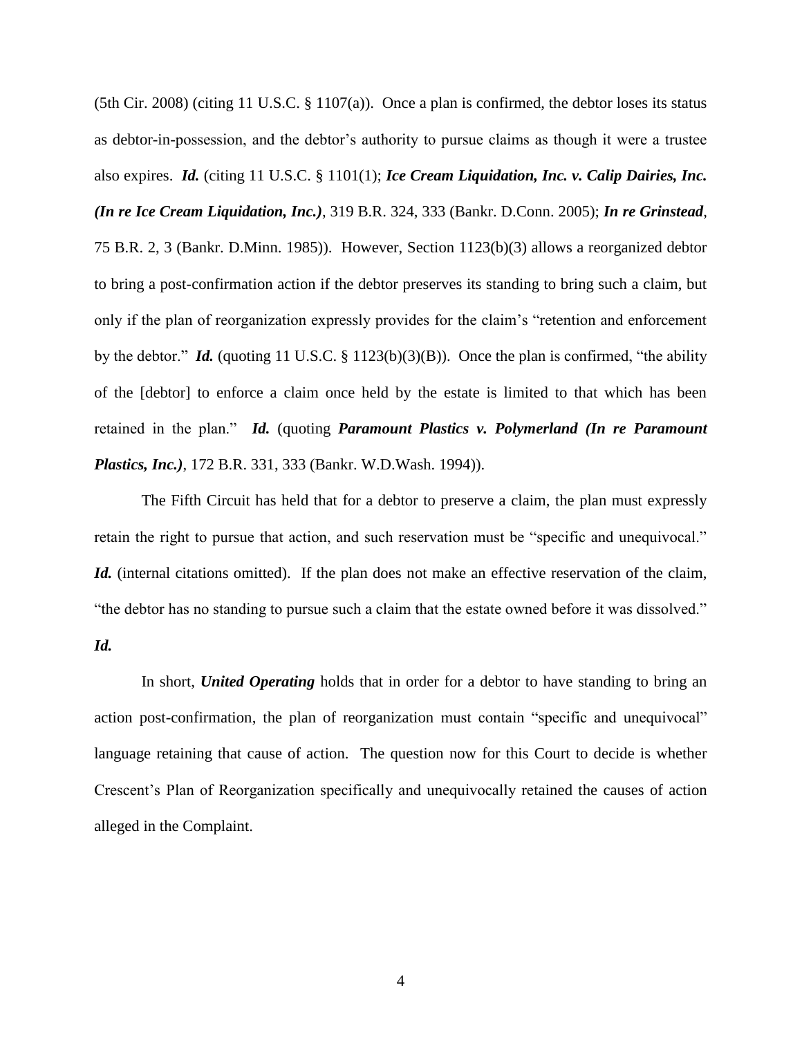(5th Cir. 2008) (citing 11 U.S.C. § 1107(a)). Once a plan is confirmed, the debtor loses its status as debtor-in-possession, and the debtor"s authority to pursue claims as though it were a trustee also expires. *Id.* (citing 11 U.S.C. § 1101(1); *Ice Cream Liquidation, Inc. v. Calip Dairies, Inc. (In re Ice Cream Liquidation, Inc.)*, 319 B.R. 324, 333 (Bankr. D.Conn. 2005); *In re Grinstead*, 75 B.R. 2, 3 (Bankr. D.Minn. 1985)). However, Section 1123(b)(3) allows a reorganized debtor to bring a post-confirmation action if the debtor preserves its standing to bring such a claim, but only if the plan of reorganization expressly provides for the claim"s "retention and enforcement by the debtor." *Id.* (quoting 11 U.S.C. § 1123(b)(3)(B)). Once the plan is confirmed, "the ability of the [debtor] to enforce a claim once held by the estate is limited to that which has been retained in the plan." *Id.* (quoting *Paramount Plastics v. Polymerland (In re Paramount Plastics, Inc.)*, 172 B.R. 331, 333 (Bankr. W.D.Wash. 1994)).

The Fifth Circuit has held that for a debtor to preserve a claim, the plan must expressly retain the right to pursue that action, and such reservation must be "specific and unequivocal." *Id.* (internal citations omitted). If the plan does not make an effective reservation of the claim, "the debtor has no standing to pursue such a claim that the estate owned before it was dissolved."

### *Id.*

In short, *United Operating* holds that in order for a debtor to have standing to bring an action post-confirmation, the plan of reorganization must contain "specific and unequivocal" language retaining that cause of action. The question now for this Court to decide is whether Crescent"s Plan of Reorganization specifically and unequivocally retained the causes of action alleged in the Complaint.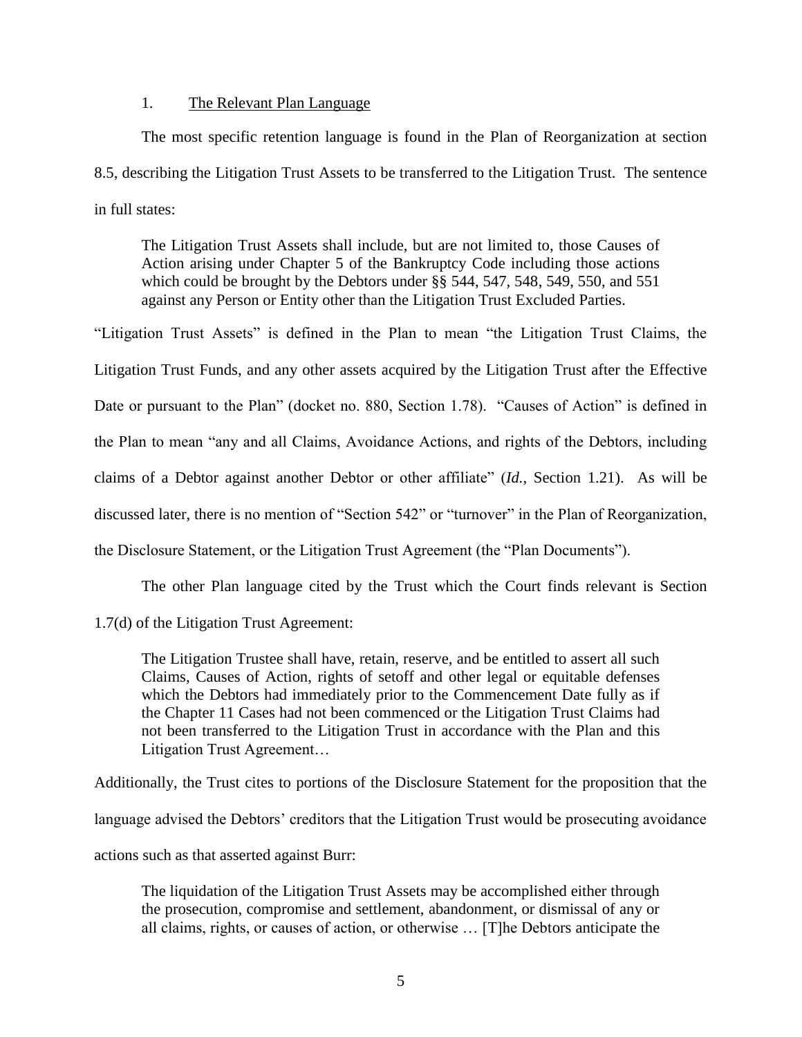### 1. The Relevant Plan Language

The most specific retention language is found in the Plan of Reorganization at section 8.5, describing the Litigation Trust Assets to be transferred to the Litigation Trust. The sentence in full states:

The Litigation Trust Assets shall include, but are not limited to, those Causes of Action arising under Chapter 5 of the Bankruptcy Code including those actions which could be brought by the Debtors under §§ 544, 547, 548, 549, 550, and 551 against any Person or Entity other than the Litigation Trust Excluded Parties.

"Litigation Trust Assets" is defined in the Plan to mean "the Litigation Trust Claims, the Litigation Trust Funds, and any other assets acquired by the Litigation Trust after the Effective Date or pursuant to the Plan" (docket no. 880, Section 1.78). "Causes of Action" is defined in the Plan to mean "any and all Claims, Avoidance Actions, and rights of the Debtors, including claims of a Debtor against another Debtor or other affiliate" (*Id.*, Section 1.21). As will be discussed later, there is no mention of "Section 542" or "turnover" in the Plan of Reorganization, the Disclosure Statement, or the Litigation Trust Agreement (the "Plan Documents").

The other Plan language cited by the Trust which the Court finds relevant is Section

1.7(d) of the Litigation Trust Agreement:

The Litigation Trustee shall have, retain, reserve, and be entitled to assert all such Claims, Causes of Action, rights of setoff and other legal or equitable defenses which the Debtors had immediately prior to the Commencement Date fully as if the Chapter 11 Cases had not been commenced or the Litigation Trust Claims had not been transferred to the Litigation Trust in accordance with the Plan and this Litigation Trust Agreement…

Additionally, the Trust cites to portions of the Disclosure Statement for the proposition that the language advised the Debtors' creditors that the Litigation Trust would be prosecuting avoidance actions such as that asserted against Burr:

The liquidation of the Litigation Trust Assets may be accomplished either through the prosecution, compromise and settlement, abandonment, or dismissal of any or all claims, rights, or causes of action, or otherwise … [T]he Debtors anticipate the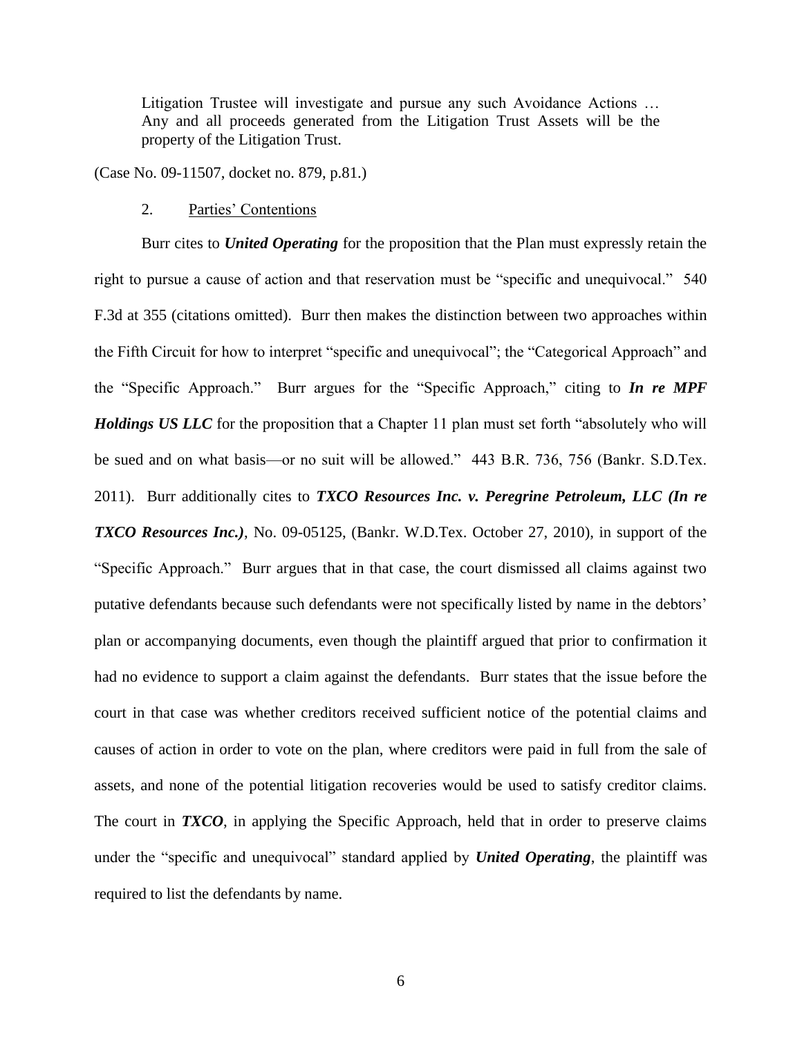Litigation Trustee will investigate and pursue any such Avoidance Actions … Any and all proceeds generated from the Litigation Trust Assets will be the property of the Litigation Trust.

(Case No. 09-11507, docket no. 879, p.81.)

### 2. Parties" Contentions

Burr cites to *United Operating* for the proposition that the Plan must expressly retain the right to pursue a cause of action and that reservation must be "specific and unequivocal." 540 F.3d at 355 (citations omitted). Burr then makes the distinction between two approaches within the Fifth Circuit for how to interpret "specific and unequivocal"; the "Categorical Approach" and the "Specific Approach." Burr argues for the "Specific Approach," citing to *In re MPF Holdings US LLC* for the proposition that a Chapter 11 plan must set forth "absolutely who will be sued and on what basis—or no suit will be allowed." 443 B.R. 736, 756 (Bankr. S.D.Tex. 2011). Burr additionally cites to *TXCO Resources Inc. v. Peregrine Petroleum, LLC (In re TXCO Resources Inc.)*, No. 09-05125, (Bankr. W.D.Tex. October 27, 2010), in support of the "Specific Approach." Burr argues that in that case, the court dismissed all claims against two putative defendants because such defendants were not specifically listed by name in the debtors' plan or accompanying documents, even though the plaintiff argued that prior to confirmation it had no evidence to support a claim against the defendants. Burr states that the issue before the court in that case was whether creditors received sufficient notice of the potential claims and causes of action in order to vote on the plan, where creditors were paid in full from the sale of assets, and none of the potential litigation recoveries would be used to satisfy creditor claims. The court in *TXCO*, in applying the Specific Approach, held that in order to preserve claims under the "specific and unequivocal" standard applied by *United Operating*, the plaintiff was required to list the defendants by name.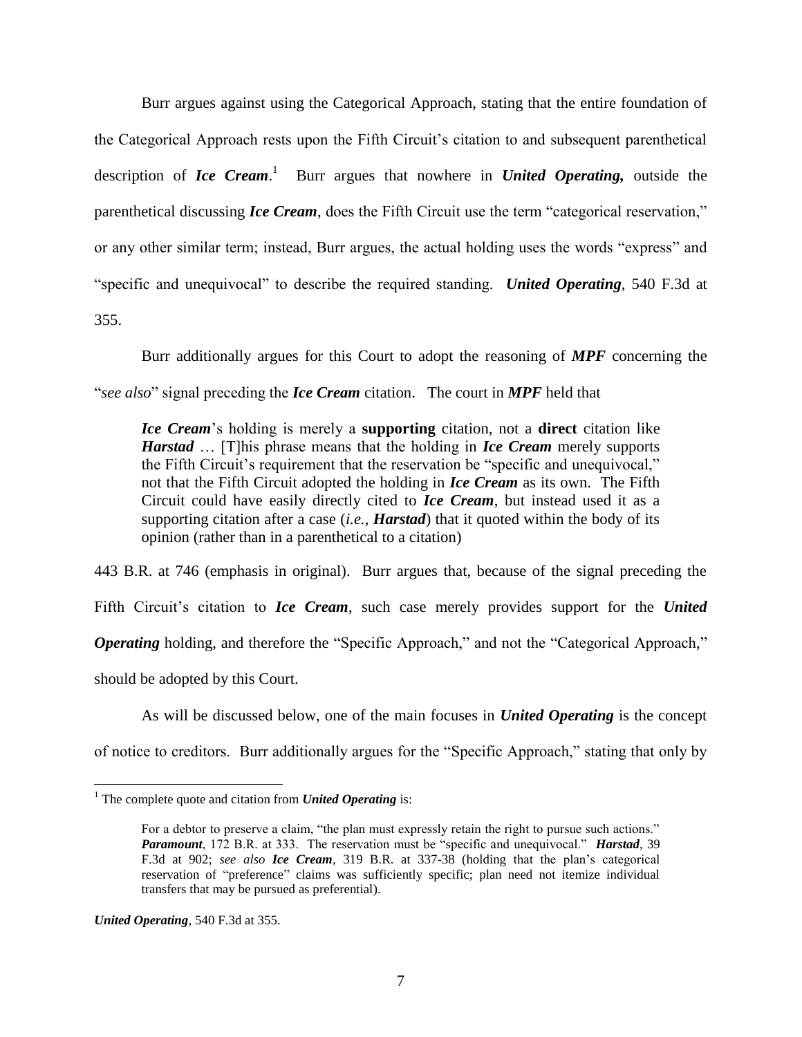Burr argues against using the Categorical Approach, stating that the entire foundation of the Categorical Approach rests upon the Fifth Circuit"s citation to and subsequent parenthetical description of *Ice Cream*. 1 Burr argues that nowhere in *United Operating,* outside the parenthetical discussing *Ice Cream*, does the Fifth Circuit use the term "categorical reservation," or any other similar term; instead, Burr argues, the actual holding uses the words "express" and "specific and unequivocal" to describe the required standing. *United Operating*, 540 F.3d at 355.

Burr additionally argues for this Court to adopt the reasoning of *MPF* concerning the "*see also*" signal preceding the *Ice Cream* citation. The court in *MPF* held that

*Ice Cream*"s holding is merely a **supporting** citation, not a **direct** citation like *Harstad* … [T]his phrase means that the holding in *Ice Cream* merely supports the Fifth Circuit's requirement that the reservation be "specific and unequivocal," not that the Fifth Circuit adopted the holding in *Ice Cream* as its own. The Fifth Circuit could have easily directly cited to *Ice Cream*, but instead used it as a supporting citation after a case (*i.e.*, *Harstad*) that it quoted within the body of its opinion (rather than in a parenthetical to a citation)

443 B.R. at 746 (emphasis in original). Burr argues that, because of the signal preceding the Fifth Circuit's citation to *Ice Cream*, such case merely provides support for the *United Operating* holding, and therefore the "Specific Approach," and not the "Categorical Approach," should be adopted by this Court.

As will be discussed below, one of the main focuses in *United Operating* is the concept of notice to creditors. Burr additionally argues for the "Specific Approach," stating that only by

*United Operating*, 540 F.3d at 355.

 $\overline{a}$ 

<sup>&</sup>lt;sup>1</sup> The complete quote and citation from *United Operating* is:

For a debtor to preserve a claim, "the plan must expressly retain the right to pursue such actions." *Paramount*, 172 B.R. at 333. The reservation must be "specific and unequivocal." *Harstad*, 39 F.3d at 902; *see also Ice Cream*, 319 B.R. at 337-38 (holding that the plan"s categorical reservation of "preference" claims was sufficiently specific; plan need not itemize individual transfers that may be pursued as preferential).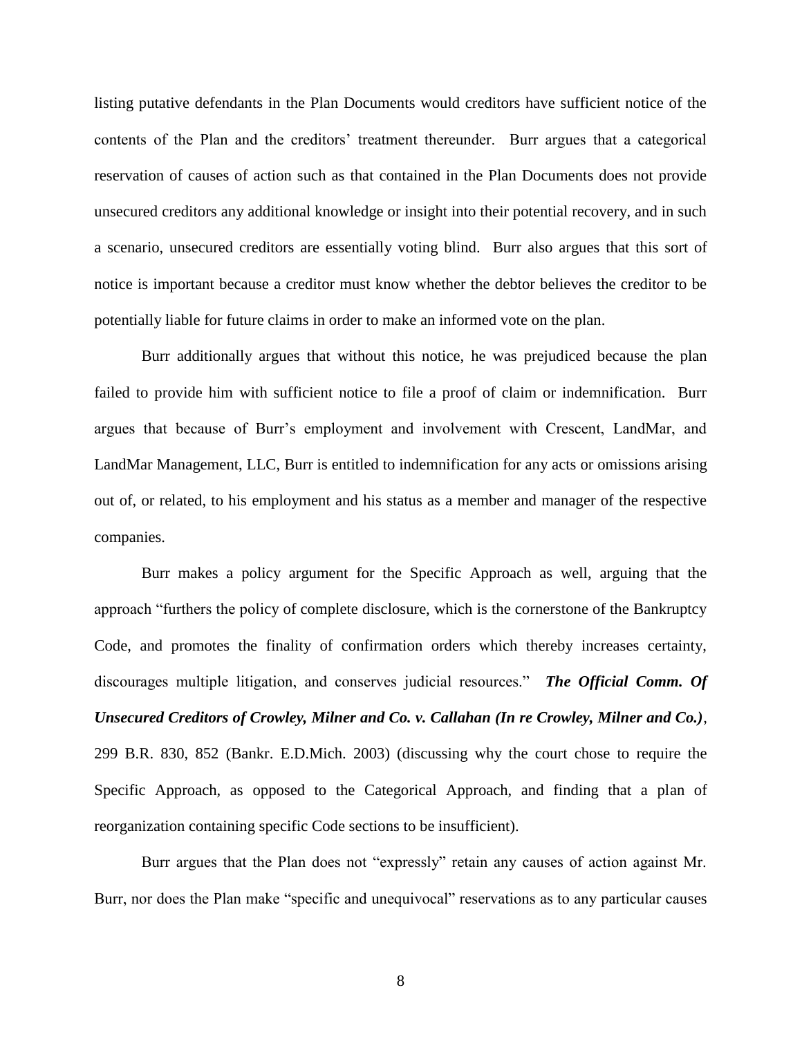listing putative defendants in the Plan Documents would creditors have sufficient notice of the contents of the Plan and the creditors' treatment thereunder. Burr argues that a categorical reservation of causes of action such as that contained in the Plan Documents does not provide unsecured creditors any additional knowledge or insight into their potential recovery, and in such a scenario, unsecured creditors are essentially voting blind. Burr also argues that this sort of notice is important because a creditor must know whether the debtor believes the creditor to be potentially liable for future claims in order to make an informed vote on the plan.

Burr additionally argues that without this notice, he was prejudiced because the plan failed to provide him with sufficient notice to file a proof of claim or indemnification. Burr argues that because of Burr"s employment and involvement with Crescent, LandMar, and LandMar Management, LLC, Burr is entitled to indemnification for any acts or omissions arising out of, or related, to his employment and his status as a member and manager of the respective companies.

Burr makes a policy argument for the Specific Approach as well, arguing that the approach "furthers the policy of complete disclosure, which is the cornerstone of the Bankruptcy Code, and promotes the finality of confirmation orders which thereby increases certainty, discourages multiple litigation, and conserves judicial resources." *The Official Comm. Of Unsecured Creditors of Crowley, Milner and Co. v. Callahan (In re Crowley, Milner and Co.)*, 299 B.R. 830, 852 (Bankr. E.D.Mich. 2003) (discussing why the court chose to require the Specific Approach, as opposed to the Categorical Approach, and finding that a plan of reorganization containing specific Code sections to be insufficient).

Burr argues that the Plan does not "expressly" retain any causes of action against Mr. Burr, nor does the Plan make "specific and unequivocal" reservations as to any particular causes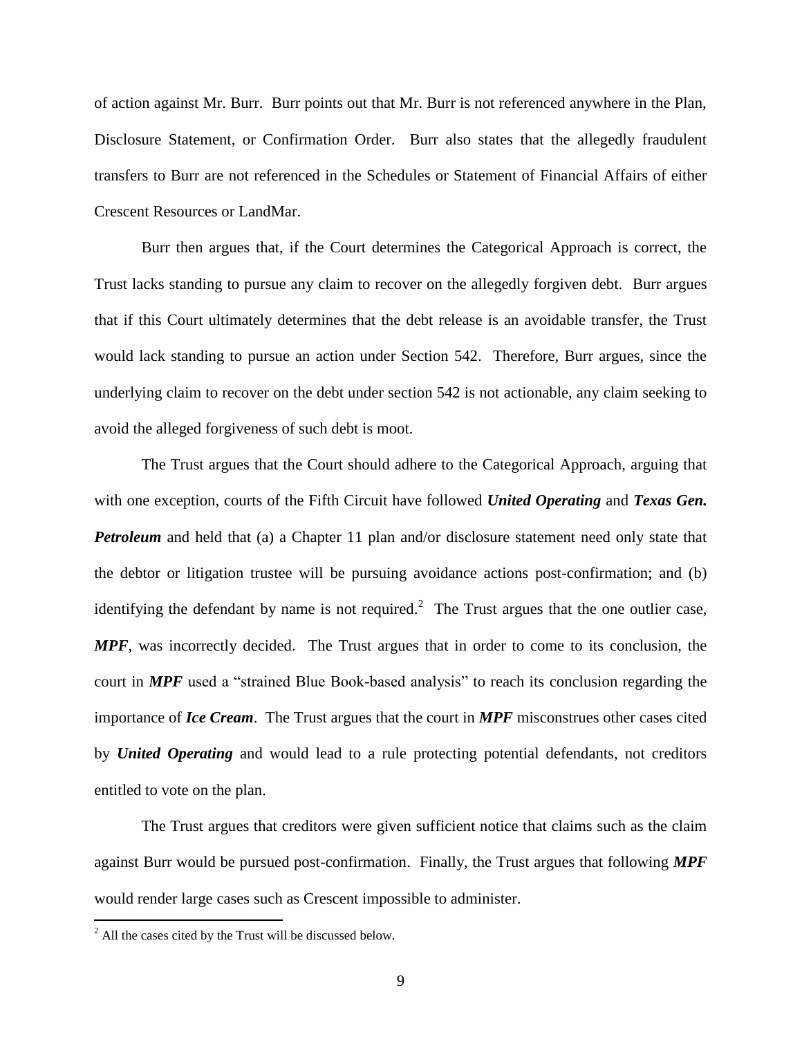of action against Mr. Burr. Burr points out that Mr. Burr is not referenced anywhere in the Plan, Disclosure Statement, or Confirmation Order. Burr also states that the allegedly fraudulent transfers to Burr are not referenced in the Schedules or Statement of Financial Affairs of either Crescent Resources or LandMar.

Burr then argues that, if the Court determines the Categorical Approach is correct, the Trust lacks standing to pursue any claim to recover on the allegedly forgiven debt. Burr argues that if this Court ultimately determines that the debt release is an avoidable transfer, the Trust would lack standing to pursue an action under Section 542. Therefore, Burr argues, since the underlying claim to recover on the debt under section 542 is not actionable, any claim seeking to avoid the alleged forgiveness of such debt is moot.

The Trust argues that the Court should adhere to the Categorical Approach, arguing that with one exception, courts of the Fifth Circuit have followed *United Operating* and *Texas Gen. Petroleum* and held that (a) a Chapter 11 plan and/or disclosure statement need only state that the debtor or litigation trustee will be pursuing avoidance actions post-confirmation; and (b) identifying the defendant by name is not required.<sup>2</sup> The Trust argues that the one outlier case, *MPF*, was incorrectly decided. The Trust argues that in order to come to its conclusion, the court in *MPF* used a "strained Blue Book-based analysis" to reach its conclusion regarding the importance of *Ice Cream*. The Trust argues that the court in *MPF* misconstrues other cases cited by *United Operating* and would lead to a rule protecting potential defendants, not creditors entitled to vote on the plan.

The Trust argues that creditors were given sufficient notice that claims such as the claim against Burr would be pursued post-confirmation. Finally, the Trust argues that following *MPF*  would render large cases such as Crescent impossible to administer.

 $\overline{a}$ 

 $^{2}$  All the cases cited by the Trust will be discussed below.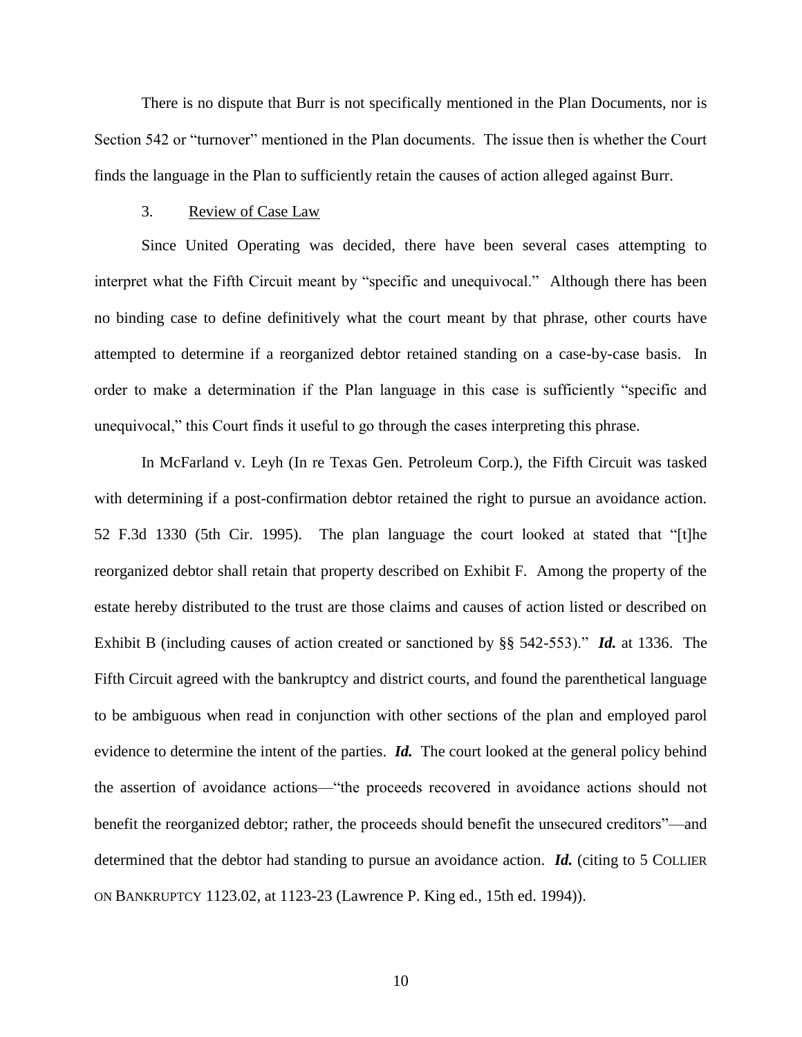There is no dispute that Burr is not specifically mentioned in the Plan Documents, nor is Section 542 or "turnover" mentioned in the Plan documents. The issue then is whether the Court finds the language in the Plan to sufficiently retain the causes of action alleged against Burr.

## 3. Review of Case Law

Since United Operating was decided, there have been several cases attempting to interpret what the Fifth Circuit meant by "specific and unequivocal." Although there has been no binding case to define definitively what the court meant by that phrase, other courts have attempted to determine if a reorganized debtor retained standing on a case-by-case basis. In order to make a determination if the Plan language in this case is sufficiently "specific and unequivocal," this Court finds it useful to go through the cases interpreting this phrase.

In McFarland v. Leyh (In re Texas Gen. Petroleum Corp.), the Fifth Circuit was tasked with determining if a post-confirmation debtor retained the right to pursue an avoidance action. 52 F.3d 1330 (5th Cir. 1995). The plan language the court looked at stated that "[t]he reorganized debtor shall retain that property described on Exhibit F. Among the property of the estate hereby distributed to the trust are those claims and causes of action listed or described on Exhibit B (including causes of action created or sanctioned by §§ 542-553)." *Id.* at 1336. The Fifth Circuit agreed with the bankruptcy and district courts, and found the parenthetical language to be ambiguous when read in conjunction with other sections of the plan and employed parol evidence to determine the intent of the parties. *Id.* The court looked at the general policy behind the assertion of avoidance actions—"the proceeds recovered in avoidance actions should not benefit the reorganized debtor; rather, the proceeds should benefit the unsecured creditors"—and determined that the debtor had standing to pursue an avoidance action. *Id.* (citing to 5 COLLIER ON BANKRUPTCY 1123.02, at 1123-23 (Lawrence P. King ed., 15th ed. 1994)).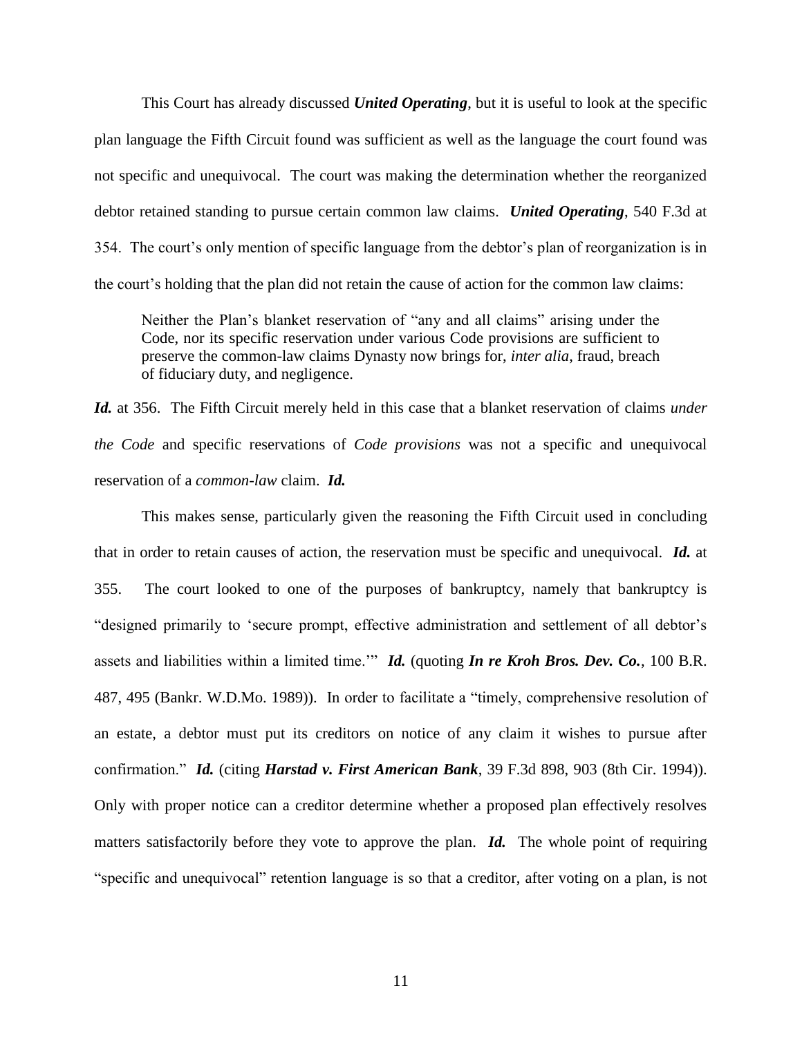This Court has already discussed *United Operating*, but it is useful to look at the specific plan language the Fifth Circuit found was sufficient as well as the language the court found was not specific and unequivocal. The court was making the determination whether the reorganized debtor retained standing to pursue certain common law claims. *United Operating*, 540 F.3d at 354. The court"s only mention of specific language from the debtor"s plan of reorganization is in the court's holding that the plan did not retain the cause of action for the common law claims:

Neither the Plan"s blanket reservation of "any and all claims" arising under the Code, nor its specific reservation under various Code provisions are sufficient to preserve the common-law claims Dynasty now brings for, *inter alia*, fraud, breach of fiduciary duty, and negligence.

*Id.* at 356. The Fifth Circuit merely held in this case that a blanket reservation of claims *under the Code* and specific reservations of *Code provisions* was not a specific and unequivocal reservation of a *common-law* claim. *Id.*

This makes sense, particularly given the reasoning the Fifth Circuit used in concluding that in order to retain causes of action, the reservation must be specific and unequivocal. *Id.* at 355. The court looked to one of the purposes of bankruptcy, namely that bankruptcy is "designed primarily to "secure prompt, effective administration and settlement of all debtor"s assets and liabilities within a limited time."" *Id.* (quoting *In re Kroh Bros. Dev. Co.*, 100 B.R. 487, 495 (Bankr. W.D.Mo. 1989)). In order to facilitate a "timely, comprehensive resolution of an estate, a debtor must put its creditors on notice of any claim it wishes to pursue after confirmation." *Id.* (citing *Harstad v. First American Bank*, 39 F.3d 898, 903 (8th Cir. 1994)). Only with proper notice can a creditor determine whether a proposed plan effectively resolves matters satisfactorily before they vote to approve the plan. *Id.* The whole point of requiring "specific and unequivocal" retention language is so that a creditor, after voting on a plan, is not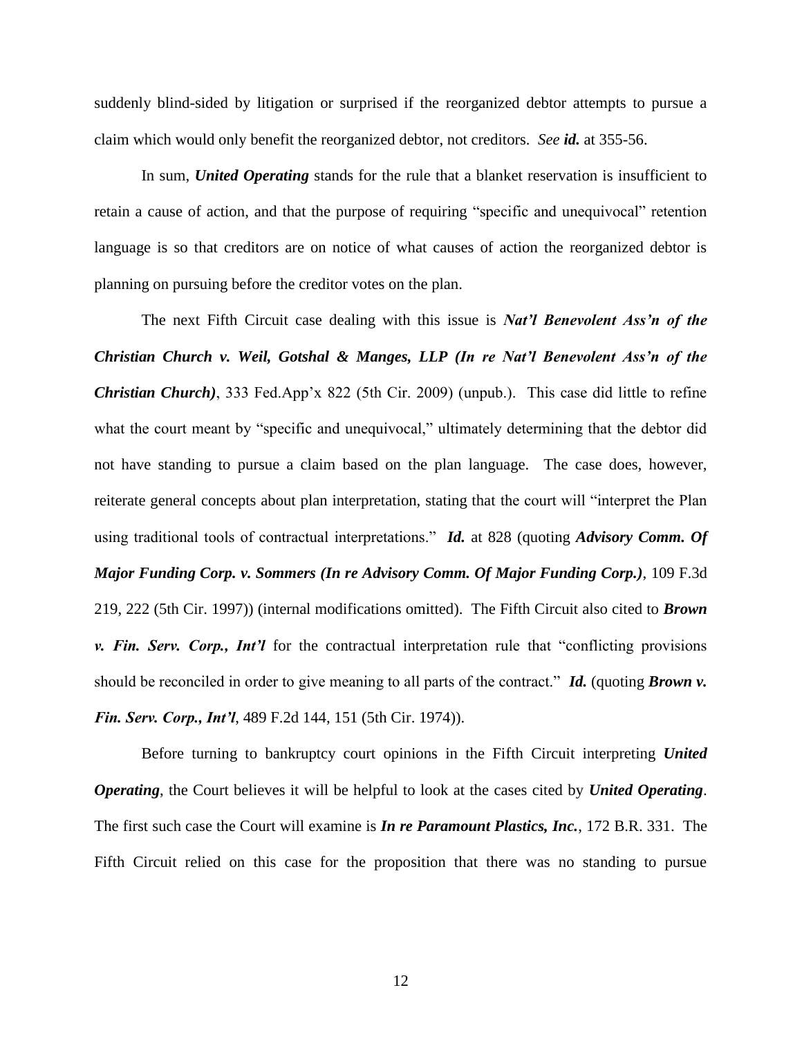suddenly blind-sided by litigation or surprised if the reorganized debtor attempts to pursue a claim which would only benefit the reorganized debtor, not creditors. *See id.* at 355-56.

In sum, *United Operating* stands for the rule that a blanket reservation is insufficient to retain a cause of action, and that the purpose of requiring "specific and unequivocal" retention language is so that creditors are on notice of what causes of action the reorganized debtor is planning on pursuing before the creditor votes on the plan.

The next Fifth Circuit case dealing with this issue is *Nat'l Benevolent Ass'n of the Christian Church v. Weil, Gotshal & Manges, LLP (In re Nat'l Benevolent Ass'n of the Christian Church*), 333 Fed.App'x 822 (5th Cir. 2009) (unpub.). This case did little to refine what the court meant by "specific and unequivocal," ultimately determining that the debtor did not have standing to pursue a claim based on the plan language. The case does, however, reiterate general concepts about plan interpretation, stating that the court will "interpret the Plan using traditional tools of contractual interpretations." *Id.* at 828 (quoting *Advisory Comm. Of Major Funding Corp. v. Sommers (In re Advisory Comm. Of Major Funding Corp.)*, 109 F.3d 219, 222 (5th Cir. 1997)) (internal modifications omitted). The Fifth Circuit also cited to *Brown v. Fin. Serv. Corp., Int'l* for the contractual interpretation rule that "conflicting provisions should be reconciled in order to give meaning to all parts of the contract." *Id.* (quoting *Brown v. Fin. Serv. Corp., Int'l*, 489 F.2d 144, 151 (5th Cir. 1974)).

Before turning to bankruptcy court opinions in the Fifth Circuit interpreting *United Operating*, the Court believes it will be helpful to look at the cases cited by *United Operating*. The first such case the Court will examine is *In re Paramount Plastics, Inc.*, 172 B.R. 331. The Fifth Circuit relied on this case for the proposition that there was no standing to pursue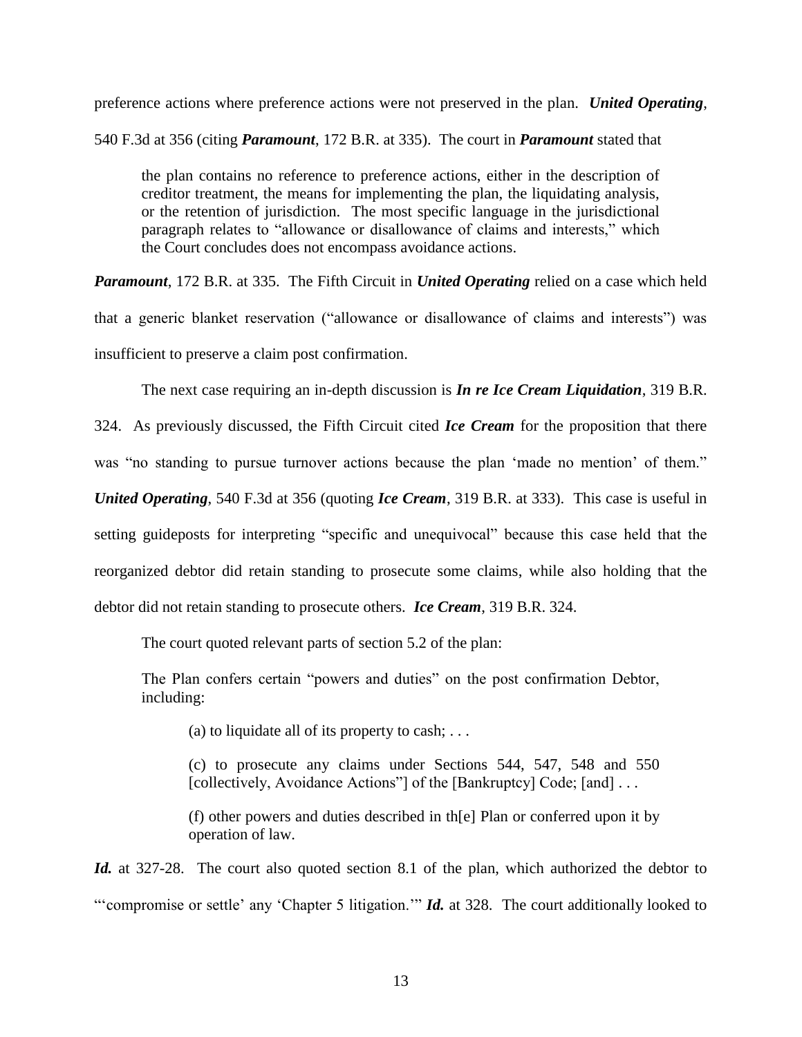preference actions where preference actions were not preserved in the plan. *United Operating*, 540 F.3d at 356 (citing *Paramount*, 172 B.R. at 335). The court in *Paramount* stated that

the plan contains no reference to preference actions, either in the description of creditor treatment, the means for implementing the plan, the liquidating analysis, or the retention of jurisdiction. The most specific language in the jurisdictional paragraph relates to "allowance or disallowance of claims and interests," which the Court concludes does not encompass avoidance actions.

*Paramount*, 172 B.R. at 335. The Fifth Circuit in *United Operating* relied on a case which held that a generic blanket reservation ("allowance or disallowance of claims and interests") was insufficient to preserve a claim post confirmation.

The next case requiring an in-depth discussion is *In re Ice Cream Liquidation*, 319 B.R.

324. As previously discussed, the Fifth Circuit cited *Ice Cream* for the proposition that there was "no standing to pursue turnover actions because the plan 'made no mention' of them." *United Operating*, 540 F.3d at 356 (quoting *Ice Cream*, 319 B.R. at 333). This case is useful in setting guideposts for interpreting "specific and unequivocal" because this case held that the reorganized debtor did retain standing to prosecute some claims, while also holding that the debtor did not retain standing to prosecute others. *Ice Cream*, 319 B.R. 324.

The court quoted relevant parts of section 5.2 of the plan:

The Plan confers certain "powers and duties" on the post confirmation Debtor, including:

(a) to liquidate all of its property to cash;  $\dots$ 

(c) to prosecute any claims under Sections 544, 547, 548 and 550 [collectively, Avoidance Actions"] of the [Bankruptcy] Code; [and] ...

(f) other powers and duties described in th[e] Plan or conferred upon it by operation of law.

*Id.* at 327-28. The court also quoted section 8.1 of the plan, which authorized the debtor to ""compromise or settle" any 'Chapter 5 litigation."" *Id.* at 328. The court additionally looked to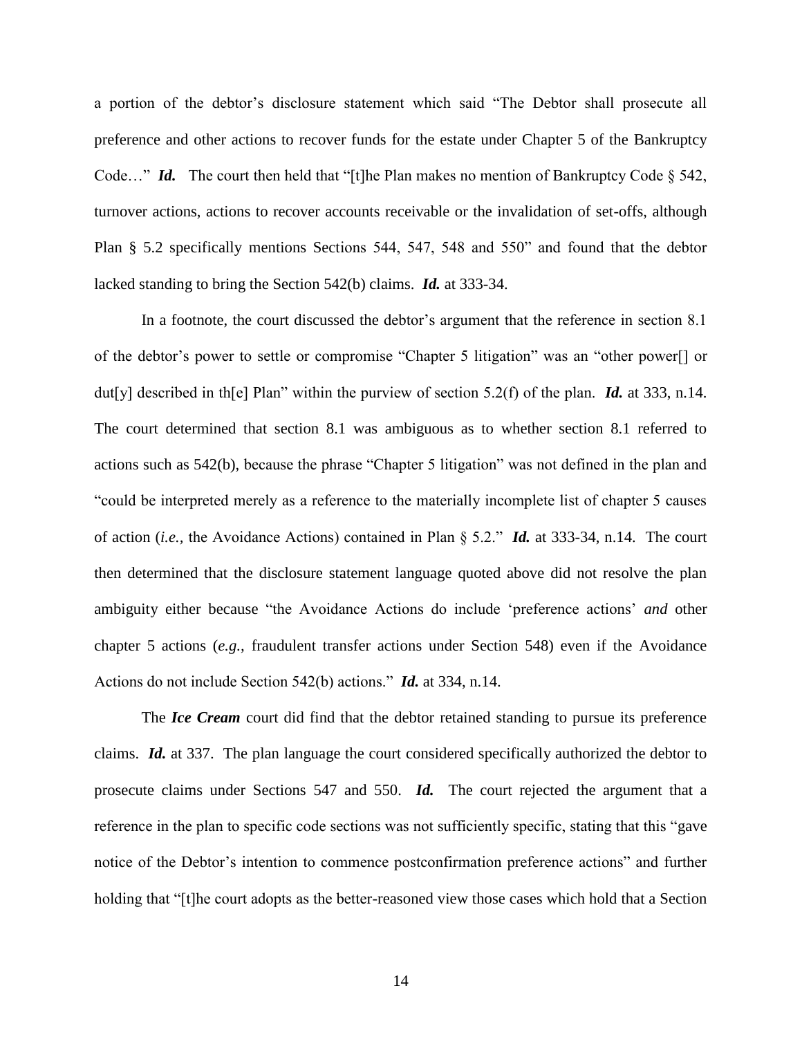a portion of the debtor"s disclosure statement which said "The Debtor shall prosecute all preference and other actions to recover funds for the estate under Chapter 5 of the Bankruptcy Code..." *Id.* The court then held that "[t]he Plan makes no mention of Bankruptcy Code § 542, turnover actions, actions to recover accounts receivable or the invalidation of set-offs, although Plan § 5.2 specifically mentions Sections 544, 547, 548 and 550" and found that the debtor lacked standing to bring the Section 542(b) claims. *Id.* at 333-34.

In a footnote, the court discussed the debtor's argument that the reference in section 8.1 of the debtor"s power to settle or compromise "Chapter 5 litigation" was an "other power[] or dut[y] described in th[e] Plan" within the purview of section 5.2(f) of the plan. *Id.* at 333, n.14. The court determined that section 8.1 was ambiguous as to whether section 8.1 referred to actions such as 542(b), because the phrase "Chapter 5 litigation" was not defined in the plan and "could be interpreted merely as a reference to the materially incomplete list of chapter 5 causes of action (*i.e.,* the Avoidance Actions) contained in Plan § 5.2." *Id.* at 333-34, n.14. The court then determined that the disclosure statement language quoted above did not resolve the plan ambiguity either because "the Avoidance Actions do include "preference actions" *and* other chapter 5 actions (*e.g.,* fraudulent transfer actions under Section 548) even if the Avoidance Actions do not include Section 542(b) actions." *Id.* at 334, n.14.

The *Ice Cream* court did find that the debtor retained standing to pursue its preference claims. *Id.* at 337. The plan language the court considered specifically authorized the debtor to prosecute claims under Sections 547 and 550. *Id.* The court rejected the argument that a reference in the plan to specific code sections was not sufficiently specific, stating that this "gave notice of the Debtor"s intention to commence postconfirmation preference actions" and further holding that "[t]he court adopts as the better-reasoned view those cases which hold that a Section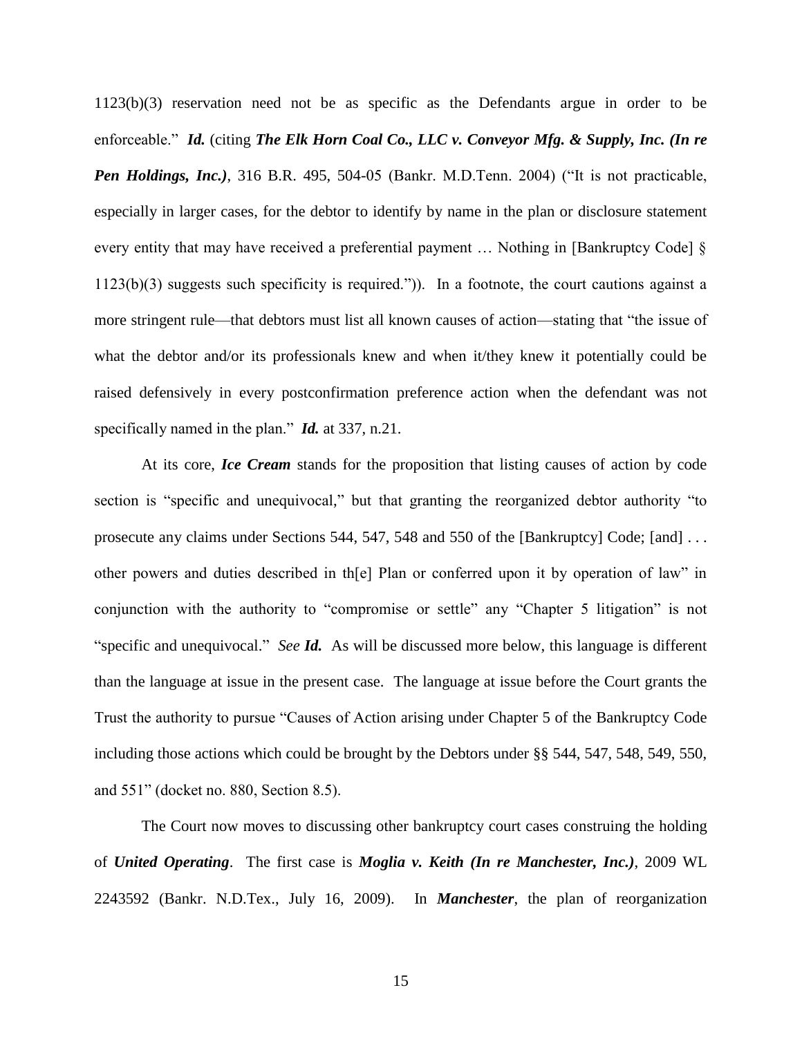1123(b)(3) reservation need not be as specific as the Defendants argue in order to be enforceable." *Id.* (citing *The Elk Horn Coal Co., LLC v. Conveyor Mfg. & Supply, Inc. (In re Pen Holdings, Inc.)*, 316 B.R. 495, 504-05 (Bankr. M.D.Tenn. 2004) ("It is not practicable, especially in larger cases, for the debtor to identify by name in the plan or disclosure statement every entity that may have received a preferential payment … Nothing in [Bankruptcy Code] § 1123(b)(3) suggests such specificity is required.")). In a footnote, the court cautions against a more stringent rule—that debtors must list all known causes of action—stating that "the issue of what the debtor and/or its professionals knew and when it/they knew it potentially could be raised defensively in every postconfirmation preference action when the defendant was not specifically named in the plan." *Id.* at 337, n.21.

At its core, *Ice Cream* stands for the proposition that listing causes of action by code section is "specific and unequivocal," but that granting the reorganized debtor authority "to prosecute any claims under Sections 544, 547, 548 and 550 of the [Bankruptcy] Code; [and] ... other powers and duties described in th[e] Plan or conferred upon it by operation of law" in conjunction with the authority to "compromise or settle" any "Chapter 5 litigation" is not "specific and unequivocal." *See Id.* As will be discussed more below, this language is different than the language at issue in the present case. The language at issue before the Court grants the Trust the authority to pursue "Causes of Action arising under Chapter 5 of the Bankruptcy Code including those actions which could be brought by the Debtors under §§ 544, 547, 548, 549, 550, and 551" (docket no. 880, Section 8.5).

The Court now moves to discussing other bankruptcy court cases construing the holding of *United Operating*. The first case is *Moglia v. Keith (In re Manchester, Inc.)*, 2009 WL 2243592 (Bankr. N.D.Tex., July 16, 2009). In *Manchester*, the plan of reorganization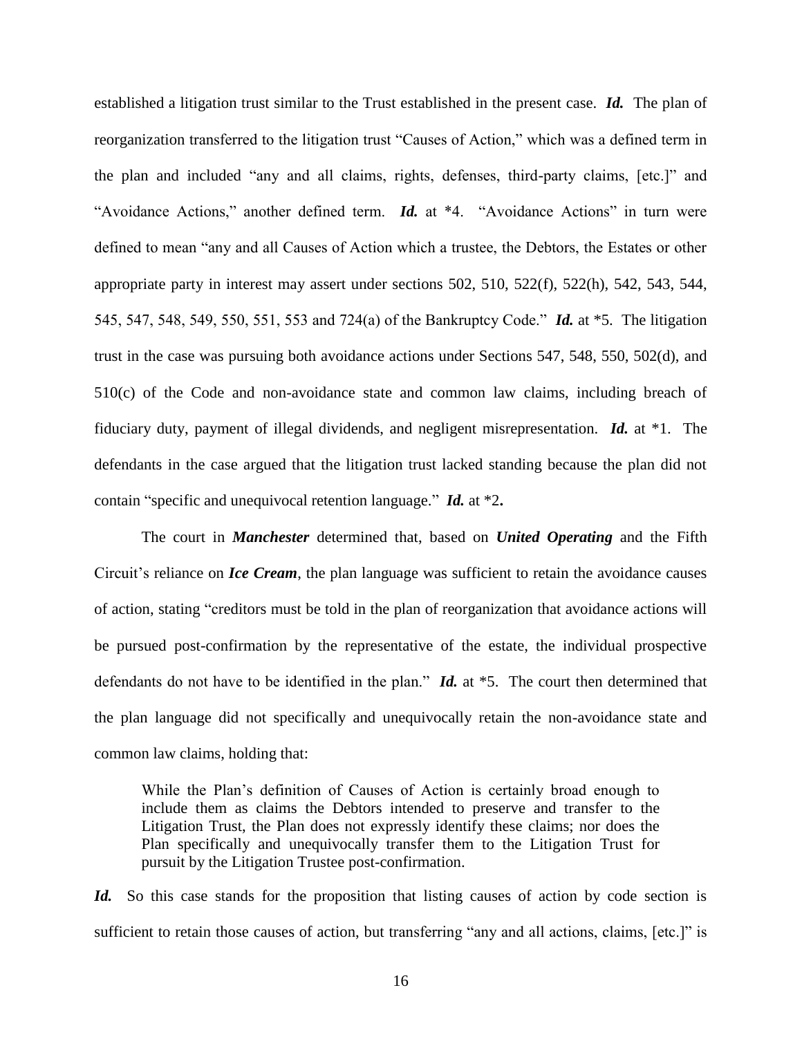established a litigation trust similar to the Trust established in the present case. *Id.* The plan of reorganization transferred to the litigation trust "Causes of Action," which was a defined term in the plan and included "any and all claims, rights, defenses, third-party claims, [etc.]" and "Avoidance Actions," another defined term. *Id.* at \*4. "Avoidance Actions" in turn were defined to mean "any and all Causes of Action which a trustee, the Debtors, the Estates or other appropriate party in interest may assert under sections 502, 510, 522(f), 522(h), 542, 543, 544, 545, 547, 548, 549, 550, 551, 553 and 724(a) of the Bankruptcy Code." *Id.* at \*5. The litigation trust in the case was pursuing both avoidance actions under Sections 547, 548, 550, 502(d), and 510(c) of the Code and non-avoidance state and common law claims, including breach of fiduciary duty, payment of illegal dividends, and negligent misrepresentation. *Id.* at \*1. The defendants in the case argued that the litigation trust lacked standing because the plan did not contain "specific and unequivocal retention language." *Id.* at \*2**.** 

The court in *Manchester* determined that, based on *United Operating* and the Fifth Circuit's reliance on *Ice Cream*, the plan language was sufficient to retain the avoidance causes of action, stating "creditors must be told in the plan of reorganization that avoidance actions will be pursued post-confirmation by the representative of the estate, the individual prospective defendants do not have to be identified in the plan." *Id.* at \*5. The court then determined that the plan language did not specifically and unequivocally retain the non-avoidance state and common law claims, holding that:

While the Plan"s definition of Causes of Action is certainly broad enough to include them as claims the Debtors intended to preserve and transfer to the Litigation Trust, the Plan does not expressly identify these claims; nor does the Plan specifically and unequivocally transfer them to the Litigation Trust for pursuit by the Litigation Trustee post-confirmation.

*Id.* So this case stands for the proposition that listing causes of action by code section is sufficient to retain those causes of action, but transferring "any and all actions, claims, [etc.]" is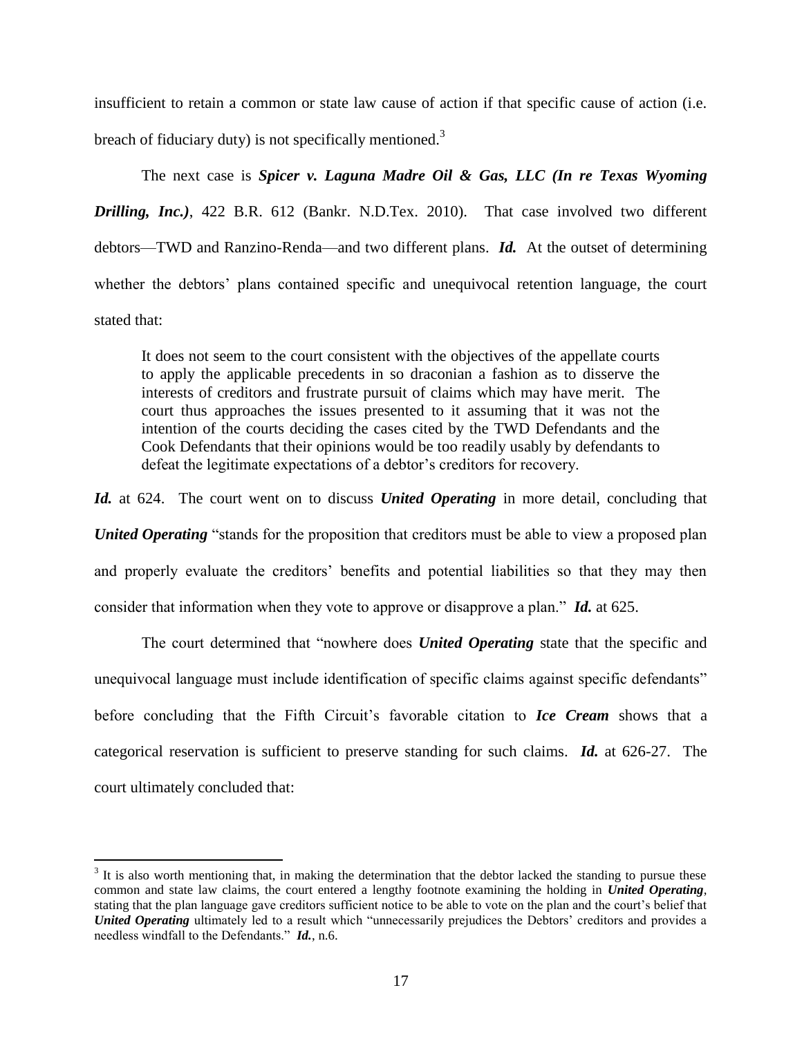insufficient to retain a common or state law cause of action if that specific cause of action (i.e.

breach of fiduciary duty) is not specifically mentioned.<sup>3</sup>

The next case is *Spicer v. Laguna Madre Oil & Gas, LLC (In re Texas Wyoming Drilling, Inc.)*, 422 B.R. 612 (Bankr. N.D.Tex. 2010). That case involved two different debtors—TWD and Ranzino-Renda—and two different plans. *Id.* At the outset of determining whether the debtors' plans contained specific and unequivocal retention language, the court stated that:

It does not seem to the court consistent with the objectives of the appellate courts to apply the applicable precedents in so draconian a fashion as to disserve the interests of creditors and frustrate pursuit of claims which may have merit. The court thus approaches the issues presented to it assuming that it was not the intention of the courts deciding the cases cited by the TWD Defendants and the Cook Defendants that their opinions would be too readily usably by defendants to defeat the legitimate expectations of a debtor"s creditors for recovery.

*Id.* at 624. The court went on to discuss *United Operating* in more detail, concluding that *United Operating* "stands for the proposition that creditors must be able to view a proposed plan and properly evaluate the creditors" benefits and potential liabilities so that they may then consider that information when they vote to approve or disapprove a plan." *Id.* at 625.

The court determined that "nowhere does *United Operating* state that the specific and unequivocal language must include identification of specific claims against specific defendants" before concluding that the Fifth Circuit's favorable citation to *Ice Cream* shows that a categorical reservation is sufficient to preserve standing for such claims. *Id.* at 626-27. The court ultimately concluded that:

 $\overline{a}$ 

 $3$  It is also worth mentioning that, in making the determination that the debtor lacked the standing to pursue these common and state law claims, the court entered a lengthy footnote examining the holding in *United Operating*, stating that the plan language gave creditors sufficient notice to be able to vote on the plan and the court"s belief that *United Operating* ultimately led to a result which "unnecessarily prejudices the Debtors' creditors and provides a needless windfall to the Defendants." *Id.*, n.6.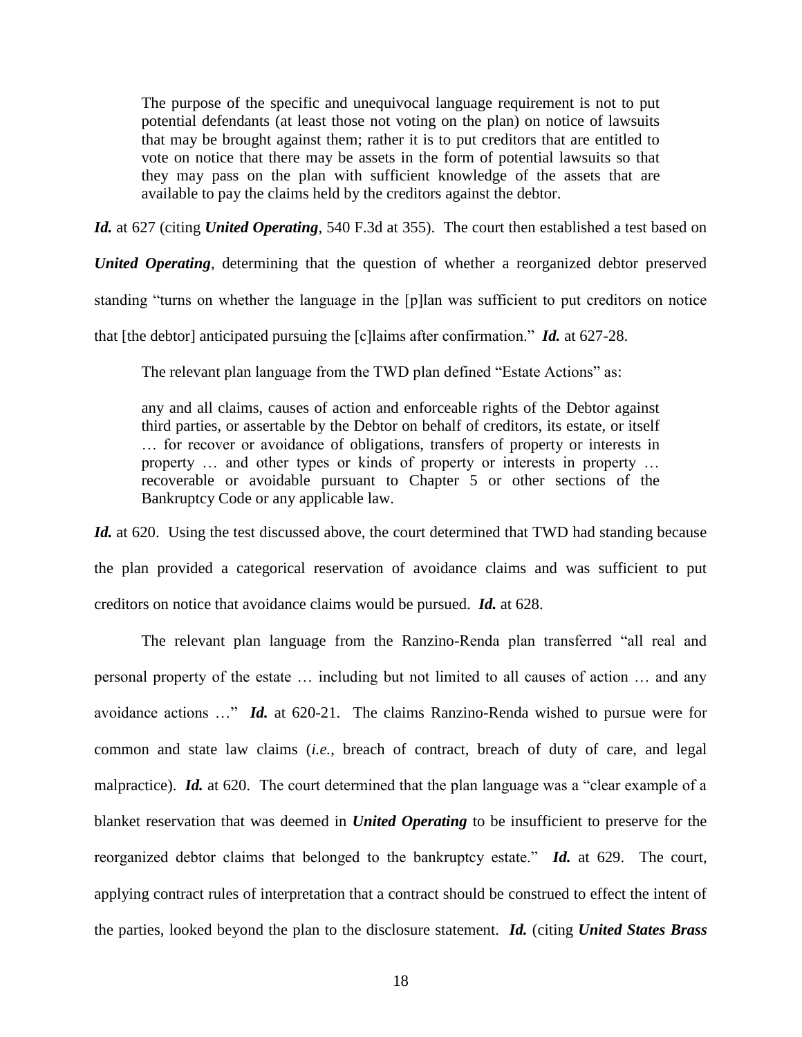The purpose of the specific and unequivocal language requirement is not to put potential defendants (at least those not voting on the plan) on notice of lawsuits that may be brought against them; rather it is to put creditors that are entitled to vote on notice that there may be assets in the form of potential lawsuits so that they may pass on the plan with sufficient knowledge of the assets that are available to pay the claims held by the creditors against the debtor.

*Id.* at 627 (citing *United Operating*, 540 F.3d at 355). The court then established a test based on

*United Operating*, determining that the question of whether a reorganized debtor preserved standing "turns on whether the language in the [p]lan was sufficient to put creditors on notice that [the debtor] anticipated pursuing the [c]laims after confirmation." *Id.* at 627-28.

The relevant plan language from the TWD plan defined "Estate Actions" as:

any and all claims, causes of action and enforceable rights of the Debtor against third parties, or assertable by the Debtor on behalf of creditors, its estate, or itself … for recover or avoidance of obligations, transfers of property or interests in property … and other types or kinds of property or interests in property … recoverable or avoidable pursuant to Chapter 5 or other sections of the Bankruptcy Code or any applicable law.

Id. at 620. Using the test discussed above, the court determined that TWD had standing because the plan provided a categorical reservation of avoidance claims and was sufficient to put creditors on notice that avoidance claims would be pursued. *Id.* at 628.

The relevant plan language from the Ranzino-Renda plan transferred "all real and personal property of the estate … including but not limited to all causes of action … and any avoidance actions …" *Id.* at 620-21. The claims Ranzino-Renda wished to pursue were for common and state law claims (*i.e.*, breach of contract, breach of duty of care, and legal malpractice). *Id.* at 620. The court determined that the plan language was a "clear example of a blanket reservation that was deemed in *United Operating* to be insufficient to preserve for the reorganized debtor claims that belonged to the bankruptcy estate." *Id.* at 629. The court, applying contract rules of interpretation that a contract should be construed to effect the intent of the parties, looked beyond the plan to the disclosure statement. *Id.* (citing *United States Brass*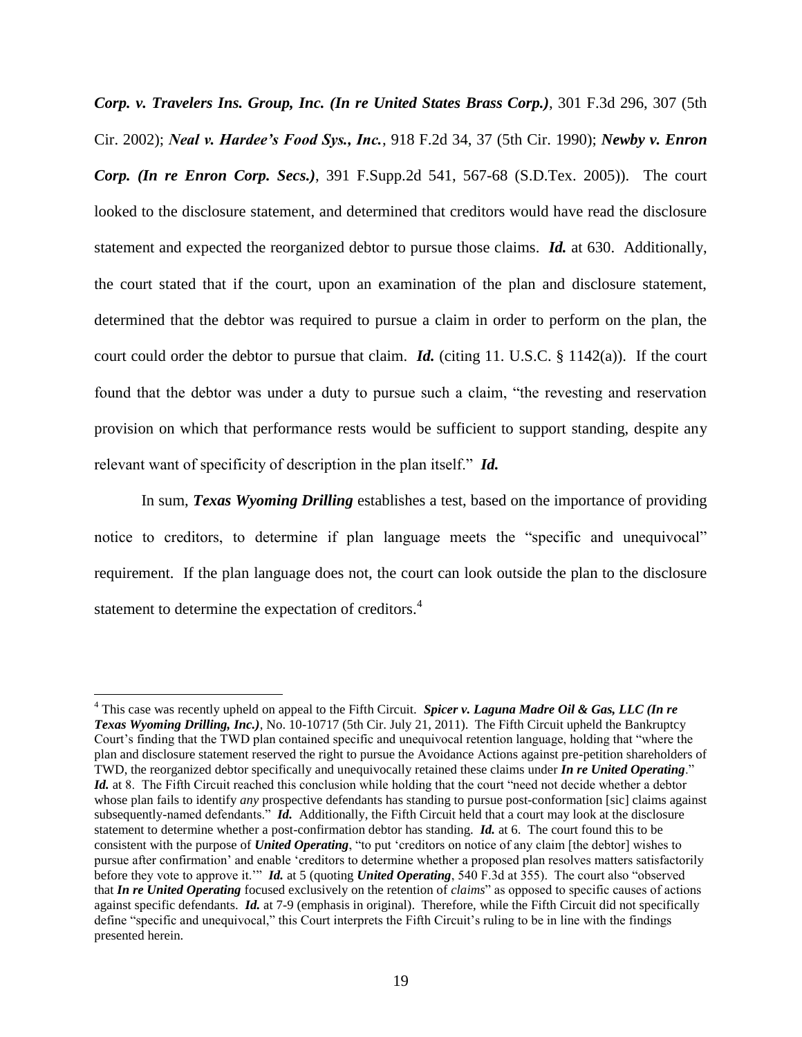*Corp. v. Travelers Ins. Group, Inc. (In re United States Brass Corp.)*, 301 F.3d 296, 307 (5th Cir. 2002); *Neal v. Hardee's Food Sys., Inc.*, 918 F.2d 34, 37 (5th Cir. 1990); *Newby v. Enron Corp. (In re Enron Corp. Secs.)*, 391 F.Supp.2d 541, 567-68 (S.D.Tex. 2005)). The court looked to the disclosure statement, and determined that creditors would have read the disclosure statement and expected the reorganized debtor to pursue those claims. *Id.* at 630. Additionally, the court stated that if the court, upon an examination of the plan and disclosure statement, determined that the debtor was required to pursue a claim in order to perform on the plan, the court could order the debtor to pursue that claim. *Id.* (citing 11. U.S.C. § 1142(a)). If the court found that the debtor was under a duty to pursue such a claim, "the revesting and reservation provision on which that performance rests would be sufficient to support standing, despite any relevant want of specificity of description in the plan itself." *Id.*

In sum, *Texas Wyoming Drilling* establishes a test, based on the importance of providing notice to creditors, to determine if plan language meets the "specific and unequivocal" requirement. If the plan language does not, the court can look outside the plan to the disclosure statement to determine the expectation of creditors.<sup>4</sup>

 $\overline{a}$ 

<sup>4</sup> This case was recently upheld on appeal to the Fifth Circuit. *Spicer v. Laguna Madre Oil & Gas, LLC (In re Texas Wyoming Drilling, Inc.)*, No. 10-10717 (5th Cir. July 21, 2011). The Fifth Circuit upheld the Bankruptcy Court"s finding that the TWD plan contained specific and unequivocal retention language, holding that "where the plan and disclosure statement reserved the right to pursue the Avoidance Actions against pre-petition shareholders of TWD, the reorganized debtor specifically and unequivocally retained these claims under *In re United Operating*." *Id.* at 8. The Fifth Circuit reached this conclusion while holding that the court "need not decide whether a debtor whose plan fails to identify *any* prospective defendants has standing to pursue post-conformation [sic] claims against subsequently-named defendants." *Id.* Additionally, the Fifth Circuit held that a court may look at the disclosure statement to determine whether a post-confirmation debtor has standing. *Id.* at 6. The court found this to be consistent with the purpose of *United Operating*, "to put "creditors on notice of any claim [the debtor] wishes to pursue after confirmation" and enable "creditors to determine whether a proposed plan resolves matters satisfactorily before they vote to approve it."" *Id.* at 5 (quoting *United Operating*, 540 F.3d at 355). The court also "observed that *In re United Operating* focused exclusively on the retention of *claims*" as opposed to specific causes of actions against specific defendants. *Id.* at 7-9 (emphasis in original). Therefore, while the Fifth Circuit did not specifically define "specific and unequivocal," this Court interprets the Fifth Circuit"s ruling to be in line with the findings presented herein.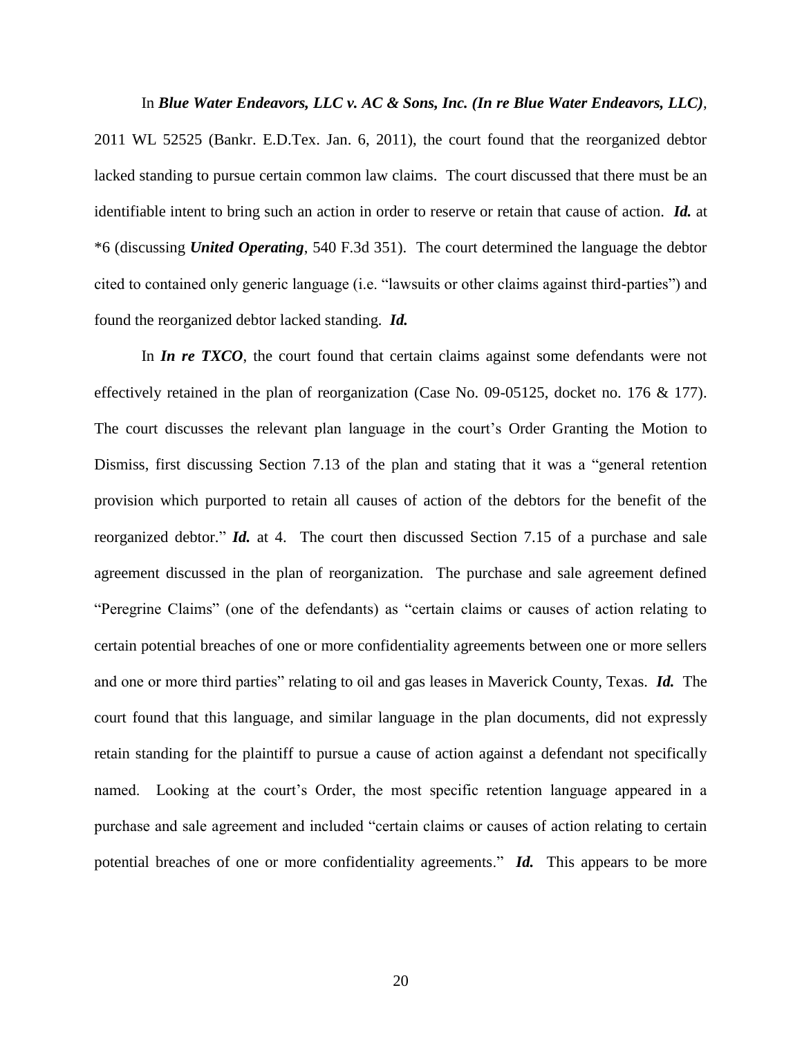In *Blue Water Endeavors, LLC v. AC & Sons, Inc. (In re Blue Water Endeavors, LLC)*, 2011 WL 52525 (Bankr. E.D.Tex. Jan. 6, 2011), the court found that the reorganized debtor lacked standing to pursue certain common law claims. The court discussed that there must be an identifiable intent to bring such an action in order to reserve or retain that cause of action. *Id.* at \*6 (discussing *United Operating*, 540 F.3d 351). The court determined the language the debtor cited to contained only generic language (i.e. "lawsuits or other claims against third-parties") and found the reorganized debtor lacked standing. *Id.*

In *In re TXCO*, the court found that certain claims against some defendants were not effectively retained in the plan of reorganization (Case No. 09-05125, docket no. 176 & 177). The court discusses the relevant plan language in the court"s Order Granting the Motion to Dismiss, first discussing Section 7.13 of the plan and stating that it was a "general retention provision which purported to retain all causes of action of the debtors for the benefit of the reorganized debtor." *Id.* at 4. The court then discussed Section 7.15 of a purchase and sale agreement discussed in the plan of reorganization. The purchase and sale agreement defined "Peregrine Claims" (one of the defendants) as "certain claims or causes of action relating to certain potential breaches of one or more confidentiality agreements between one or more sellers and one or more third parties" relating to oil and gas leases in Maverick County, Texas. *Id.* The court found that this language, and similar language in the plan documents, did not expressly retain standing for the plaintiff to pursue a cause of action against a defendant not specifically named. Looking at the court's Order, the most specific retention language appeared in a purchase and sale agreement and included "certain claims or causes of action relating to certain potential breaches of one or more confidentiality agreements." *Id.* This appears to be more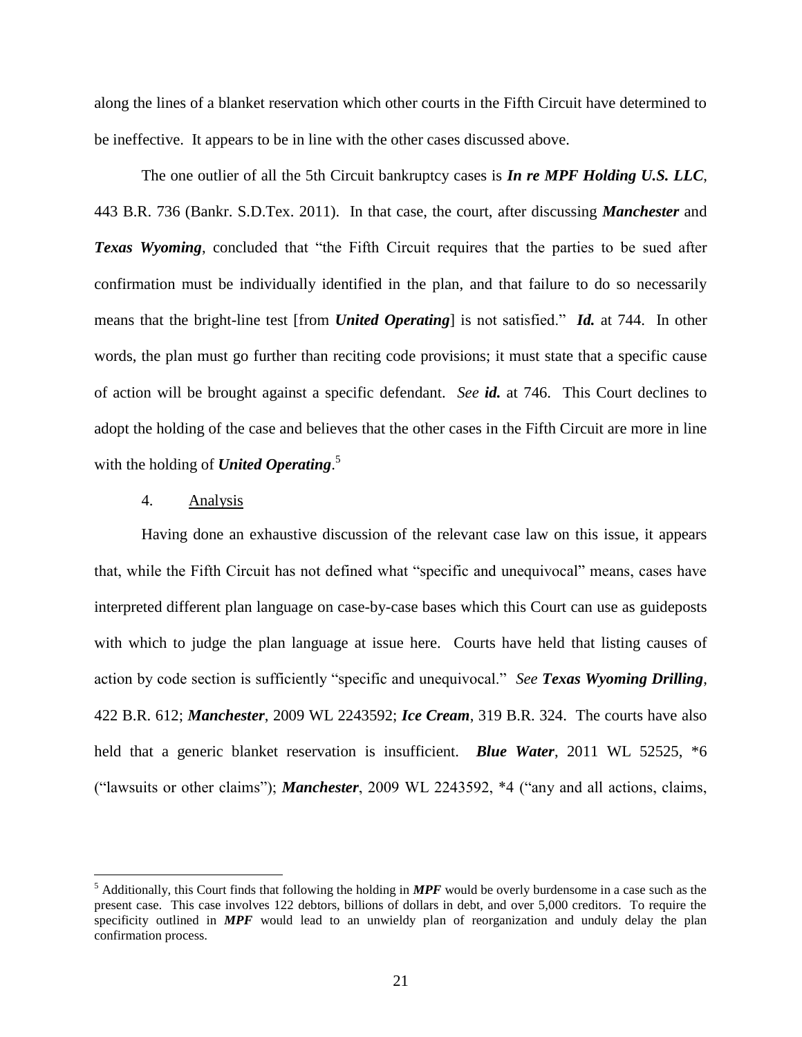along the lines of a blanket reservation which other courts in the Fifth Circuit have determined to be ineffective. It appears to be in line with the other cases discussed above.

The one outlier of all the 5th Circuit bankruptcy cases is *In re MPF Holding U.S. LLC*, 443 B.R. 736 (Bankr. S.D.Tex. 2011). In that case, the court, after discussing *Manchester* and **Texas Wyoming**, concluded that "the Fifth Circuit requires that the parties to be sued after confirmation must be individually identified in the plan, and that failure to do so necessarily means that the bright-line test [from *United Operating*] is not satisfied." *Id.* at 744. In other words, the plan must go further than reciting code provisions; it must state that a specific cause of action will be brought against a specific defendant. *See id.* at 746. This Court declines to adopt the holding of the case and believes that the other cases in the Fifth Circuit are more in line with the holding of *United Operating*. 5

## 4. Analysis

 $\overline{a}$ 

Having done an exhaustive discussion of the relevant case law on this issue, it appears that, while the Fifth Circuit has not defined what "specific and unequivocal" means, cases have interpreted different plan language on case-by-case bases which this Court can use as guideposts with which to judge the plan language at issue here. Courts have held that listing causes of action by code section is sufficiently "specific and unequivocal." *See Texas Wyoming Drilling*, 422 B.R. 612; *Manchester*, 2009 WL 2243592; *Ice Cream*, 319 B.R. 324. The courts have also held that a generic blanket reservation is insufficient. *Blue Water*, 2011 WL 52525, \*6 ("lawsuits or other claims"); *Manchester*, 2009 WL 2243592, \*4 ("any and all actions, claims,

<sup>5</sup> Additionally, this Court finds that following the holding in *MPF* would be overly burdensome in a case such as the present case. This case involves 122 debtors, billions of dollars in debt, and over 5,000 creditors. To require the specificity outlined in *MPF* would lead to an unwieldy plan of reorganization and unduly delay the plan confirmation process.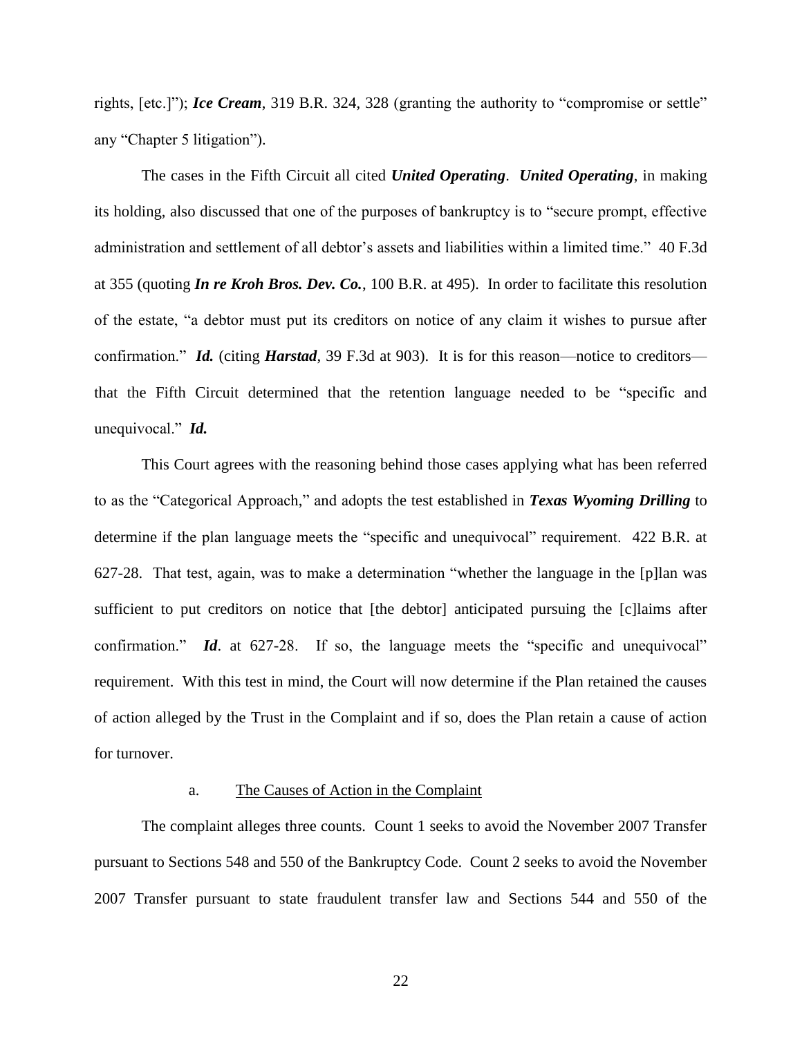rights, [etc.]"); *Ice Cream*, 319 B.R. 324, 328 (granting the authority to "compromise or settle" any "Chapter 5 litigation").

The cases in the Fifth Circuit all cited *United Operating*. *United Operating*, in making its holding, also discussed that one of the purposes of bankruptcy is to "secure prompt, effective administration and settlement of all debtor's assets and liabilities within a limited time." 40 F.3d at 355 (quoting *In re Kroh Bros. Dev. Co.*, 100 B.R. at 495). In order to facilitate this resolution of the estate, "a debtor must put its creditors on notice of any claim it wishes to pursue after confirmation." *Id.* (citing *Harstad*, 39 F.3d at 903). It is for this reason—notice to creditors that the Fifth Circuit determined that the retention language needed to be "specific and unequivocal." *Id.* 

This Court agrees with the reasoning behind those cases applying what has been referred to as the "Categorical Approach," and adopts the test established in *Texas Wyoming Drilling* to determine if the plan language meets the "specific and unequivocal" requirement. 422 B.R. at 627-28. That test, again, was to make a determination "whether the language in the [p]lan was sufficient to put creditors on notice that [the debtor] anticipated pursuing the [c]laims after confirmation." *Id*. at 627-28. If so, the language meets the "specific and unequivocal" requirement. With this test in mind, the Court will now determine if the Plan retained the causes of action alleged by the Trust in the Complaint and if so, does the Plan retain a cause of action for turnover.

### a. The Causes of Action in the Complaint

The complaint alleges three counts. Count 1 seeks to avoid the November 2007 Transfer pursuant to Sections 548 and 550 of the Bankruptcy Code. Count 2 seeks to avoid the November 2007 Transfer pursuant to state fraudulent transfer law and Sections 544 and 550 of the

22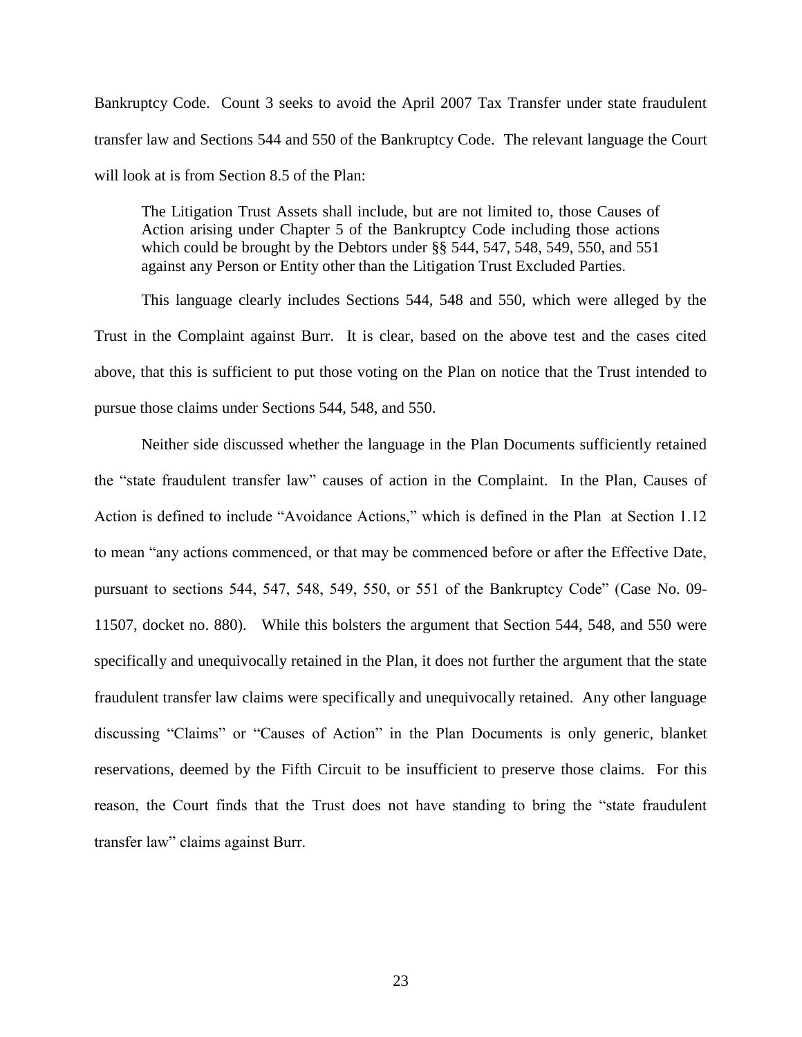Bankruptcy Code. Count 3 seeks to avoid the April 2007 Tax Transfer under state fraudulent transfer law and Sections 544 and 550 of the Bankruptcy Code. The relevant language the Court will look at is from Section 8.5 of the Plan:

The Litigation Trust Assets shall include, but are not limited to, those Causes of Action arising under Chapter 5 of the Bankruptcy Code including those actions which could be brought by the Debtors under §§ 544, 547, 548, 549, 550, and 551 against any Person or Entity other than the Litigation Trust Excluded Parties.

This language clearly includes Sections 544, 548 and 550, which were alleged by the Trust in the Complaint against Burr. It is clear, based on the above test and the cases cited above, that this is sufficient to put those voting on the Plan on notice that the Trust intended to pursue those claims under Sections 544, 548, and 550.

Neither side discussed whether the language in the Plan Documents sufficiently retained the "state fraudulent transfer law" causes of action in the Complaint. In the Plan, Causes of Action is defined to include "Avoidance Actions," which is defined in the Plan at Section 1.12 to mean "any actions commenced, or that may be commenced before or after the Effective Date, pursuant to sections 544, 547, 548, 549, 550, or 551 of the Bankruptcy Code" (Case No. 09- 11507, docket no. 880). While this bolsters the argument that Section 544, 548, and 550 were specifically and unequivocally retained in the Plan, it does not further the argument that the state fraudulent transfer law claims were specifically and unequivocally retained. Any other language discussing "Claims" or "Causes of Action" in the Plan Documents is only generic, blanket reservations, deemed by the Fifth Circuit to be insufficient to preserve those claims. For this reason, the Court finds that the Trust does not have standing to bring the "state fraudulent transfer law" claims against Burr.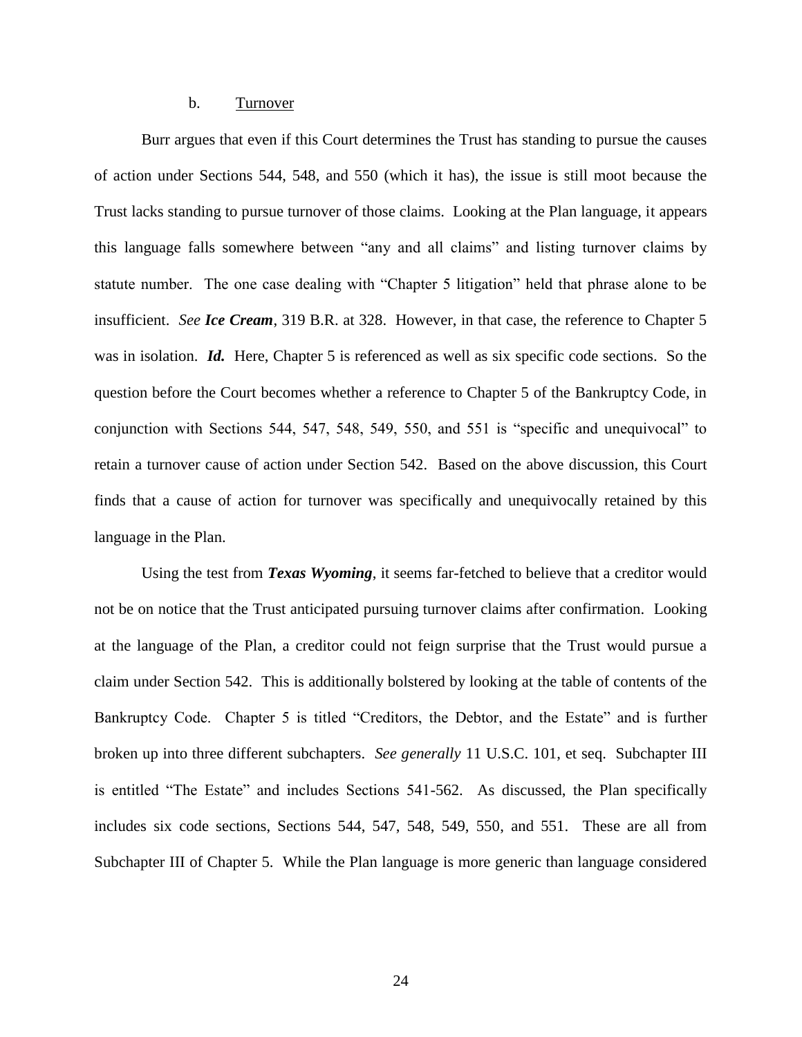### b. Turnover

Burr argues that even if this Court determines the Trust has standing to pursue the causes of action under Sections 544, 548, and 550 (which it has), the issue is still moot because the Trust lacks standing to pursue turnover of those claims. Looking at the Plan language, it appears this language falls somewhere between "any and all claims" and listing turnover claims by statute number. The one case dealing with "Chapter 5 litigation" held that phrase alone to be insufficient. *See Ice Cream*, 319 B.R. at 328. However, in that case, the reference to Chapter 5 was in isolation. *Id.* Here, Chapter 5 is referenced as well as six specific code sections. So the question before the Court becomes whether a reference to Chapter 5 of the Bankruptcy Code, in conjunction with Sections 544, 547, 548, 549, 550, and 551 is "specific and unequivocal" to retain a turnover cause of action under Section 542. Based on the above discussion, this Court finds that a cause of action for turnover was specifically and unequivocally retained by this language in the Plan.

Using the test from *Texas Wyoming*, it seems far-fetched to believe that a creditor would not be on notice that the Trust anticipated pursuing turnover claims after confirmation. Looking at the language of the Plan, a creditor could not feign surprise that the Trust would pursue a claim under Section 542. This is additionally bolstered by looking at the table of contents of the Bankruptcy Code. Chapter 5 is titled "Creditors, the Debtor, and the Estate" and is further broken up into three different subchapters. *See generally* 11 U.S.C. 101, et seq. Subchapter III is entitled "The Estate" and includes Sections 541-562. As discussed, the Plan specifically includes six code sections, Sections 544, 547, 548, 549, 550, and 551. These are all from Subchapter III of Chapter 5. While the Plan language is more generic than language considered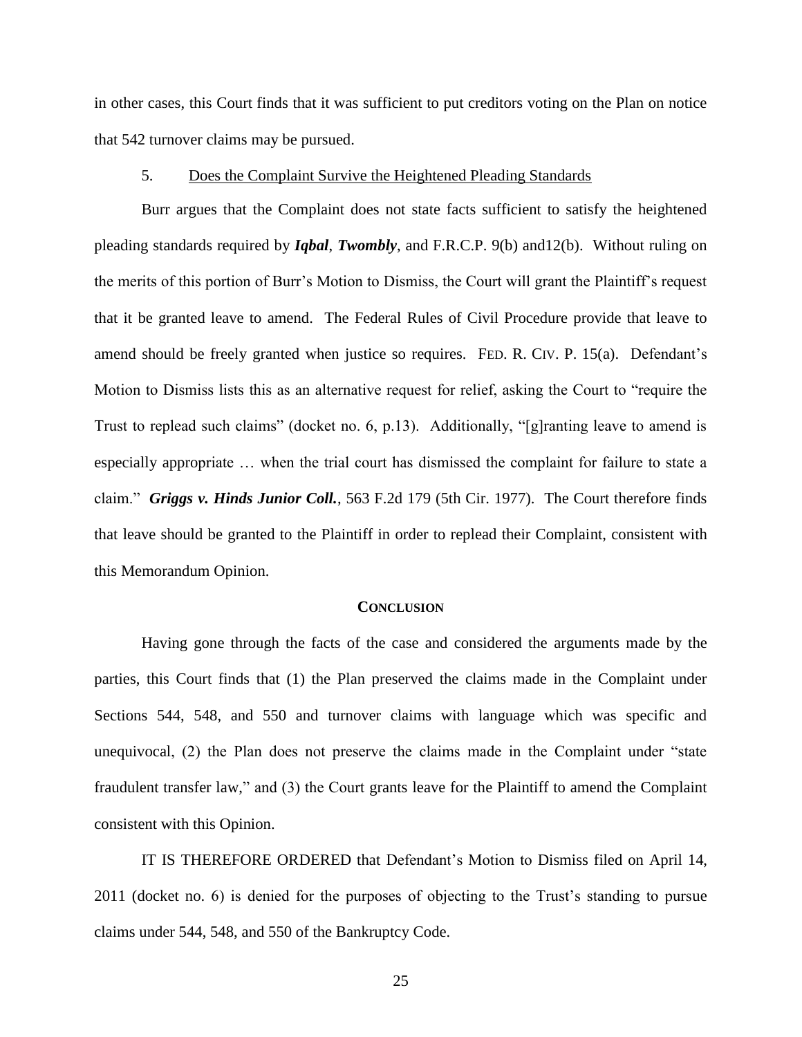in other cases, this Court finds that it was sufficient to put creditors voting on the Plan on notice that 542 turnover claims may be pursued.

### 5. Does the Complaint Survive the Heightened Pleading Standards

Burr argues that the Complaint does not state facts sufficient to satisfy the heightened pleading standards required by *Iqbal*, *Twombly*, and F.R.C.P. 9(b) and12(b). Without ruling on the merits of this portion of Burr"s Motion to Dismiss, the Court will grant the Plaintiff"s request that it be granted leave to amend. The Federal Rules of Civil Procedure provide that leave to amend should be freely granted when justice so requires. FED. R. CIV. P. 15(a). Defendant's Motion to Dismiss lists this as an alternative request for relief, asking the Court to "require the Trust to replead such claims" (docket no. 6, p.13). Additionally, "[g]ranting leave to amend is especially appropriate … when the trial court has dismissed the complaint for failure to state a claim." *Griggs v. Hinds Junior Coll.*, 563 F.2d 179 (5th Cir. 1977). The Court therefore finds that leave should be granted to the Plaintiff in order to replead their Complaint, consistent with this Memorandum Opinion.

#### **CONCLUSION**

Having gone through the facts of the case and considered the arguments made by the parties, this Court finds that (1) the Plan preserved the claims made in the Complaint under Sections 544, 548, and 550 and turnover claims with language which was specific and unequivocal, (2) the Plan does not preserve the claims made in the Complaint under "state fraudulent transfer law," and (3) the Court grants leave for the Plaintiff to amend the Complaint consistent with this Opinion.

IT IS THEREFORE ORDERED that Defendant"s Motion to Dismiss filed on April 14, 2011 (docket no. 6) is denied for the purposes of objecting to the Trust"s standing to pursue claims under 544, 548, and 550 of the Bankruptcy Code.